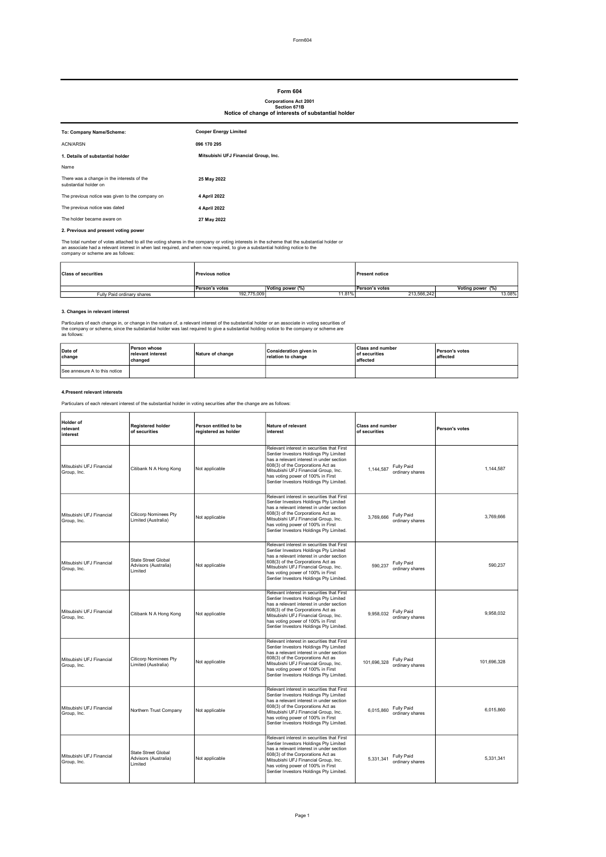# Form 604

Corporations Act 2001 Section 671B Notice of change of interests of substantial holder

| To: Company Name/Scheme:                                            | <b>Cooper Energy Limited</b>         |
|---------------------------------------------------------------------|--------------------------------------|
| <b>ACN/ARSN</b>                                                     | 096 170 295                          |
| 1. Details of substantial holder                                    | Mitsubishi UFJ Financial Group, Inc. |
| Name                                                                |                                      |
| There was a change in the interests of the<br>substantial holder on | 25 May 2022                          |
| The previous notice was given to the company on                     | 4 April 2022                         |
| The previous notice was dated                                       | 4 April 2022                         |
| The holder became aware on                                          | 27 May 2022                          |
| 2. Previous and present voting power                                |                                      |

The total number of votes attached to all the voting shares in the company or voting interests in the scheme that the substantial holder or<br>an associate had a relevant interest in when last required, and when now required,

| <b>Class of securities</b> | <b>Previous notice</b> |                  | <b>Present notice</b> |                  |
|----------------------------|------------------------|------------------|-----------------------|------------------|
|                            | Person's votes         | Voting power (%) | Person's votes        | Voting power (%) |
| Fully Paid ordinary shares | 192.775.009            | 11.81%           | 213.566.242           | 13.08%           |

#### 3. Changes in relevant interest

Particulars of each change in, or change in the nature of, a relevant interest of the substantial holder or an associate in voting securities of<br>the company or scheme, since the substantial holder was last required to give

| Date of<br>change             | 'Person whose<br>relevant interest<br>changed | Nature of change | Consideration given in<br>relation to change | <b>Class and number</b><br>of securities<br>affected | Person's votes<br>affected |
|-------------------------------|-----------------------------------------------|------------------|----------------------------------------------|------------------------------------------------------|----------------------------|
| See annexure A to this notice |                                               |                  |                                              |                                                      |                            |

#### 4.Present relevant interests

Particulars of each relevant interest of the substantial holder in voting securities after the change are as follows:

| Holder of<br>relevant<br>interest       | <b>Registered holder</b><br>of securities                     | Person entitled to be<br>registered as holder | Nature of relevant<br>interest                                                                                                                                                                                                                                                                | <b>Class and number</b><br>of securities          | Person's votes |
|-----------------------------------------|---------------------------------------------------------------|-----------------------------------------------|-----------------------------------------------------------------------------------------------------------------------------------------------------------------------------------------------------------------------------------------------------------------------------------------------|---------------------------------------------------|----------------|
| Mitsubishi UFJ Financial<br>Group, Inc. | Citibank N A Hong Kong                                        | Not applicable                                | Relevant interest in securities that First<br>Sentier Investors Holdings Pty Limited<br>has a relevant interest in under section<br>608(3) of the Corporations Act as<br>Mitsubishi UFJ Financial Group, Inc.<br>has voting power of 100% in First<br>Sentier Investors Holdings Pty Limited. | <b>Fully Paid</b><br>1.144.587<br>ordinary shares | 1,144,587      |
| Mitsubishi UFJ Financial<br>Group, Inc. | <b>Citicorp Nominees Pty</b><br>Limited (Australia)           | Not applicable                                | Relevant interest in securities that First<br>Sentier Investors Holdings Pty Limited<br>has a relevant interest in under section<br>608(3) of the Corporations Act as<br>Mitsubishi UFJ Financial Group, Inc.<br>has voting power of 100% in First<br>Sentier Investors Holdings Pty Limited. | Fully Paid<br>3.769.666<br>ordinary shares        | 3,769,666      |
| Mitsubishi UFJ Financial<br>Group, Inc. | <b>State Street Global</b><br>Advisors (Australia)<br>Limited | Not applicable                                | Relevant interest in securities that First<br>Sentier Investors Holdings Pty Limited<br>has a relevant interest in under section<br>608(3) of the Corporations Act as<br>Mitsubishi UFJ Financial Group, Inc.<br>has voting power of 100% in First<br>Sentier Investors Holdings Pty Limited. | <b>Fully Paid</b><br>590.237<br>ordinary shares   | 590.237        |
| Mitsubishi UFJ Financial<br>Group, Inc. | Citibank N A Hong Kong                                        | Not applicable                                | Relevant interest in securities that First<br>Sentier Investors Holdings Pty Limited<br>has a relevant interest in under section<br>608(3) of the Corporations Act as<br>Mitsubishi UFJ Financial Group, Inc.<br>has voting power of 100% in First<br>Sentier Investors Holdings Pty Limited. | Fully Paid<br>9.958.032<br>ordinary shares        | 9,958,032      |
| Mitsubishi UFJ Financial<br>Group, Inc. | <b>Citicorp Nominees Pty</b><br>Limited (Australia)           | Not applicable                                | Relevant interest in securities that First<br>Sentier Investors Holdings Pty Limited<br>has a relevant interest in under section<br>608(3) of the Corporations Act as<br>Mitsubishi UFJ Financial Group, Inc.<br>has voting power of 100% in First<br>Sentier Investors Holdings Pty Limited. | Fully Paid<br>101.696.328<br>ordinary shares      | 101,696,328    |
| Mitsubishi UEJ Financial<br>Group, Inc. | Northern Trust Company                                        | Not applicable                                | Relevant interest in securities that First<br>Sentier Investors Holdings Pty Limited<br>has a relevant interest in under section<br>608(3) of the Corporations Act as<br>Mitsubishi UFJ Financial Group, Inc.<br>has voting power of 100% in First<br>Sentier Investors Holdings Pty Limited. | Fully Paid<br>6.015.860<br>ordinary shares        | 6.015.860      |
| Mitsubishi UFJ Financial<br>Group, Inc. | <b>State Street Global</b><br>Advisors (Australia)<br>Limited | Not applicable                                | Relevant interest in securities that First<br>Sentier Investors Holdings Pty Limited<br>has a relevant interest in under section<br>608(3) of the Corporations Act as<br>Mitsubishi UFJ Financial Group, Inc.<br>has voting power of 100% in First<br>Sentier Investors Holdings Pty Limited. | Fully Paid<br>5,331,341<br>ordinary shares        | 5.331.341      |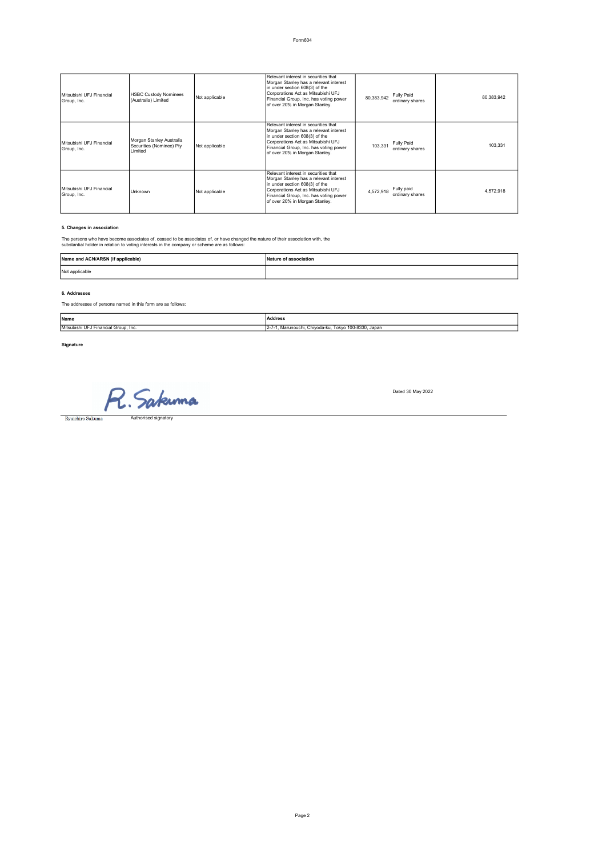| Mitsubishi UFJ Financial<br>Group, Inc. | <b>HSBC Custody Nominees</b><br>(Australia) Limited             | Not applicable | Relevant interest in securities that<br>Morgan Stanley has a relevant interest<br>In under section 608(3) of the<br>Corporations Act as Mitsubishi UFJ<br>Financial Group, Inc. has voting power<br>of over 20% in Morgan Stanley. | <b>Fully Paid</b><br>80,383,942<br>ordinary shares | 80.383.942 |
|-----------------------------------------|-----------------------------------------------------------------|----------------|------------------------------------------------------------------------------------------------------------------------------------------------------------------------------------------------------------------------------------|----------------------------------------------------|------------|
| Mitsubishi UFJ Financial<br>Group, Inc. | Morgan Stanley Australia<br>Securities (Nominee) Pty<br>Limited | Not applicable | Relevant interest in securities that<br>Morgan Stanley has a relevant interest<br>In under section 608(3) of the<br>Corporations Act as Mitsubishi UFJ<br>Financial Group, Inc. has voting power<br>of over 20% in Morgan Stanley. | Fully Paid<br>103.331<br>ordinary shares           | 103.331    |
| Mitsubishi UFJ Financial<br>Group, Inc. | <b>Unknown</b>                                                  | Not applicable | Relevant interest in securities that<br>Morgan Stanley has a relevant interest<br>in under section 608(3) of the<br>Corporations Act as Mitsubishi UFJ<br>Financial Group, Inc. has voting power<br>of over 20% in Morgan Stanley. | Fully paid<br>4.572.918<br>ordinary shares         | 4.572.918  |

# 5. Changes in association

The persons who have become associates of, ceased to be associates of, or have changed the nature of their association with, the substantial holder in relation to voting interests in the company or scheme are as follows:

| Name and ACN/ARSN (if applicable) | Nature of association |
|-----------------------------------|-----------------------|
| Not applicable                    |                       |

#### 6. Addresses

The addresses of persons named in this form are as follows:

| Name                                 | Address                                                          |
|--------------------------------------|------------------------------------------------------------------|
| Mitsubishi UFJ Financial Group, Inc. | 1. Marunouchi, Chivoda-ku, Tokvo 100-8330, Japan<br>$12 - 7 - 7$ |

Signature **Note is relevant to section 2,3,4 and 5)** 

R. Sakuma  $\begin{tabular}{c} \hline \textbf{Ryuichiro Sakuma} \end{tabular}$ 

Dated 30 May 2022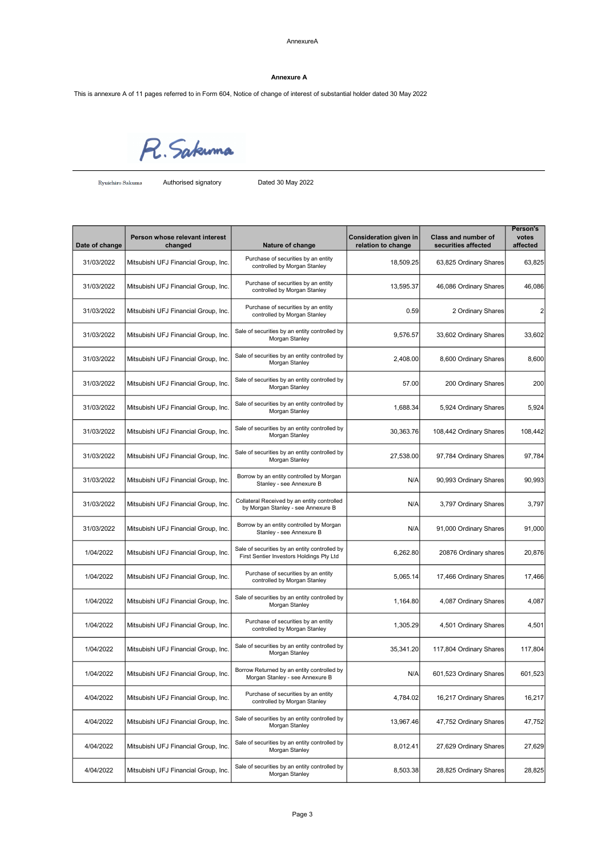#### Annexure A

This is annexure A of 11 pages referred to in Form 604, Notice of change of interest of substantial holder dated 30 May 2022

R. Sakunna

Ryuichiro Sakuma **Authorised signatory** Dated 30 May 2022

| Date of change | Person whose relevant interest<br>changed | Nature of change                                                                          | Consideration given in<br>relation to change | Class and number of<br>securities affected | Person's<br>votes<br>affected |
|----------------|-------------------------------------------|-------------------------------------------------------------------------------------------|----------------------------------------------|--------------------------------------------|-------------------------------|
| 31/03/2022     | Mitsubishi UFJ Financial Group, Inc.      | Purchase of securities by an entity<br>controlled by Morgan Stanley                       | 18,509.25                                    | 63,825 Ordinary Shares                     | 63,825                        |
| 31/03/2022     | Mitsubishi UFJ Financial Group, Inc.      | Purchase of securities by an entity<br>controlled by Morgan Stanley                       | 13,595.37                                    | 46,086 Ordinary Shares                     | 46,086                        |
| 31/03/2022     | Mitsubishi UFJ Financial Group, Inc.      | Purchase of securities by an entity<br>controlled by Morgan Stanley                       | 0.59                                         | 2 Ordinary Shares                          | $\overline{2}$                |
| 31/03/2022     | Mitsubishi UFJ Financial Group, Inc.      | Sale of securities by an entity controlled by<br>Morgan Stanley                           | 9,576.57                                     | 33,602 Ordinary Shares                     | 33,602                        |
| 31/03/2022     | Mitsubishi UFJ Financial Group, Inc.      | Sale of securities by an entity controlled by<br>Morgan Stanley                           | 2,408.00                                     | 8,600 Ordinary Shares                      | 8,600                         |
| 31/03/2022     | Mitsubishi UFJ Financial Group, Inc.      | Sale of securities by an entity controlled by<br>Morgan Stanley                           | 57.00                                        | 200 Ordinary Shares                        | 200                           |
| 31/03/2022     | Mitsubishi UFJ Financial Group, Inc.      | Sale of securities by an entity controlled by<br>Morgan Stanley                           | 1,688.34                                     | 5,924 Ordinary Shares                      | 5,924                         |
| 31/03/2022     | Mitsubishi UFJ Financial Group, Inc.      | Sale of securities by an entity controlled by<br>Morgan Stanley                           | 30,363.76                                    | 108,442 Ordinary Shares                    | 108,442                       |
| 31/03/2022     | Mitsubishi UFJ Financial Group, Inc.      | Sale of securities by an entity controlled by<br>Morgan Stanley                           | 27,538.00                                    | 97,784 Ordinary Shares                     | 97,784                        |
| 31/03/2022     | Mitsubishi UFJ Financial Group, Inc.      | Borrow by an entity controlled by Morgan<br>Stanley - see Annexure B                      | N/A                                          | 90,993 Ordinary Shares                     | 90,993                        |
| 31/03/2022     | Mitsubishi UFJ Financial Group, Inc.      | Collateral Received by an entity controlled<br>by Morgan Stanley - see Annexure B         | N/A                                          | 3,797 Ordinary Shares                      | 3,797                         |
| 31/03/2022     | Mitsubishi UFJ Financial Group, Inc.      | Borrow by an entity controlled by Morgan<br>Stanley - see Annexure B                      | N/A                                          | 91,000 Ordinary Shares                     | 91,000                        |
| 1/04/2022      | Mitsubishi UFJ Financial Group, Inc.      | Sale of securities by an entity controlled by<br>First Sentier Investors Holdings Pty Ltd | 6,262.80                                     | 20876 Ordinary shares                      | 20,876                        |
| 1/04/2022      | Mitsubishi UFJ Financial Group, Inc.      | Purchase of securities by an entity<br>controlled by Morgan Stanley                       | 5,065.14                                     | 17,466 Ordinary Shares                     | 17,466                        |
| 1/04/2022      | Mitsubishi UFJ Financial Group, Inc.      | Sale of securities by an entity controlled by<br>Morgan Stanley                           | 1,164.80                                     | 4,087 Ordinary Shares                      | 4,087                         |
| 1/04/2022      | Mitsubishi UFJ Financial Group, Inc.      | Purchase of securities by an entity<br>controlled by Morgan Stanley                       | 1,305.29                                     | 4,501 Ordinary Shares                      | 4,501                         |
| 1/04/2022      | Mitsubishi UFJ Financial Group, Inc.      | Sale of securities by an entity controlled by<br>Morgan Stanley                           | 35,341.20                                    | 117,804 Ordinary Shares                    | 117,804                       |
| 1/04/2022      | Mitsubishi UFJ Financial Group, Inc.      | Borrow Returned by an entity controlled by<br>Morgan Stanley - see Annexure B             | N/A                                          | 601,523 Ordinary Shares                    | 601,523                       |
| 4/04/2022      | Mitsubishi UFJ Financial Group, Inc.      | Purchase of securities by an entity<br>controlled by Morgan Stanley                       | 4,784.02                                     | 16,217 Ordinary Shares                     | 16,217                        |
| 4/04/2022      | Mitsubishi UFJ Financial Group, Inc.      | Sale of securities by an entity controlled by<br>Morgan Stanley                           | 13,967.46                                    | 47,752 Ordinary Shares                     | 47,752                        |
| 4/04/2022      | Mitsubishi UFJ Financial Group, Inc.      | Sale of securities by an entity controlled by<br>Morgan Stanley                           | 8,012.41                                     | 27,629 Ordinary Shares                     | 27,629                        |
| 4/04/2022      | Mitsubishi UFJ Financial Group, Inc.      | Sale of securities by an entity controlled by<br>Morgan Stanley                           | 8,503.38                                     | 28,825 Ordinary Shares                     | 28,825                        |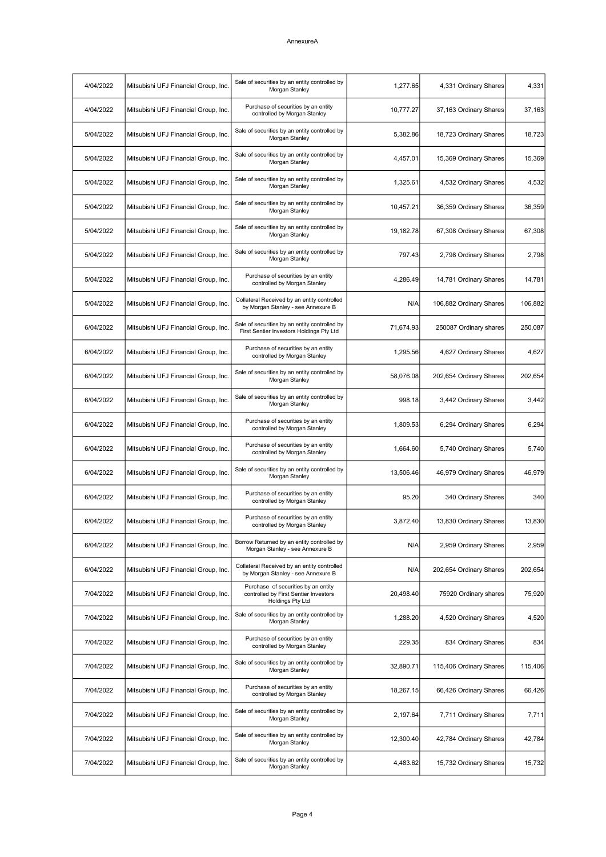| 4/04/2022 | Mitsubishi UFJ Financial Group, Inc. | Sale of securities by an entity controlled by<br>Morgan Stanley                                  | 1,277.65  | 4,331 Ordinary Shares   | 4,331   |
|-----------|--------------------------------------|--------------------------------------------------------------------------------------------------|-----------|-------------------------|---------|
| 4/04/2022 | Mitsubishi UFJ Financial Group, Inc. | Purchase of securities by an entity<br>controlled by Morgan Stanley                              | 10,777.27 | 37,163 Ordinary Shares  | 37,163  |
| 5/04/2022 | Mitsubishi UFJ Financial Group, Inc. | Sale of securities by an entity controlled by<br>Morgan Stanley                                  | 5,382.86  | 18,723 Ordinary Shares  | 18,723  |
| 5/04/2022 | Mitsubishi UFJ Financial Group, Inc. | Sale of securities by an entity controlled by<br>Morgan Stanley                                  | 4,457.01  | 15,369 Ordinary Shares  | 15,369  |
| 5/04/2022 | Mitsubishi UFJ Financial Group, Inc. | Sale of securities by an entity controlled by<br>Morgan Stanley                                  | 1,325.61  | 4,532 Ordinary Shares   | 4,532   |
| 5/04/2022 | Mitsubishi UFJ Financial Group, Inc. | Sale of securities by an entity controlled by<br>Morgan Stanley                                  | 10,457.21 | 36,359 Ordinary Shares  | 36,359  |
| 5/04/2022 | Mitsubishi UFJ Financial Group, Inc. | Sale of securities by an entity controlled by<br>Morgan Stanley                                  | 19,182.78 | 67,308 Ordinary Shares  | 67,308  |
| 5/04/2022 | Mitsubishi UFJ Financial Group, Inc. | Sale of securities by an entity controlled by<br>Morgan Stanley                                  | 797.43    | 2,798 Ordinary Shares   | 2,798   |
| 5/04/2022 | Mitsubishi UFJ Financial Group, Inc. | Purchase of securities by an entity<br>controlled by Morgan Stanley                              | 4,286.49  | 14,781 Ordinary Shares  | 14,781  |
| 5/04/2022 | Mitsubishi UFJ Financial Group, Inc. | Collateral Received by an entity controlled<br>by Morgan Stanley - see Annexure B                | N/A       | 106,882 Ordinary Shares | 106,882 |
| 6/04/2022 | Mitsubishi UFJ Financial Group, Inc. | Sale of securities by an entity controlled by<br>First Sentier Investors Holdings Pty Ltd        | 71,674.93 | 250087 Ordinary shares  | 250,087 |
| 6/04/2022 | Mitsubishi UFJ Financial Group, Inc. | Purchase of securities by an entity<br>controlled by Morgan Stanley                              | 1,295.56  | 4,627 Ordinary Shares   | 4,627   |
| 6/04/2022 | Mitsubishi UFJ Financial Group, Inc. | Sale of securities by an entity controlled by<br>Morgan Stanley                                  | 58,076.08 | 202,654 Ordinary Shares | 202,654 |
| 6/04/2022 | Mitsubishi UFJ Financial Group, Inc. | Sale of securities by an entity controlled by<br>Morgan Stanley                                  | 998.18    | 3,442 Ordinary Shares   | 3,442   |
| 6/04/2022 | Mitsubishi UFJ Financial Group, Inc. | Purchase of securities by an entity<br>controlled by Morgan Stanley                              | 1,809.53  | 6,294 Ordinary Shares   | 6,294   |
| 6/04/2022 | Mitsubishi UFJ Financial Group, Inc. | Purchase of securities by an entity<br>controlled by Morgan Stanley                              | 1,664.60  | 5,740 Ordinary Shares   | 5,740   |
| 6/04/2022 | Mitsubishi UFJ Financial Group, Inc. | Sale of securities by an entity controlled by<br>Morgan Stanley                                  | 13,506.46 | 46,979 Ordinary Shares  | 46,979  |
| 6/04/2022 | Mitsubishi UFJ Financial Group, Inc. | Purchase of securities by an entity<br>controlled by Morgan Stanley                              | 95.20     | 340 Ordinary Shares     | 340     |
| 6/04/2022 | Mitsubishi UFJ Financial Group, Inc. | Purchase of securities by an entity<br>controlled by Morgan Stanley                              | 3,872.40  | 13,830 Ordinary Shares  | 13,830  |
| 6/04/2022 | Mitsubishi UFJ Financial Group, Inc. | Borrow Returned by an entity controlled by<br>Morgan Stanley - see Annexure B                    | N/A       | 2,959 Ordinary Shares   | 2,959   |
| 6/04/2022 | Mitsubishi UFJ Financial Group, Inc. | Collateral Received by an entity controlled<br>by Morgan Stanley - see Annexure B                | N/A       | 202,654 Ordinary Shares | 202,654 |
| 7/04/2022 | Mitsubishi UFJ Financial Group, Inc. | Purchase of securities by an entity<br>controlled by First Sentier Investors<br>Holdings Pty Ltd | 20,498.40 | 75920 Ordinary shares   | 75,920  |
| 7/04/2022 | Mitsubishi UFJ Financial Group, Inc. | Sale of securities by an entity controlled by<br>Morgan Stanley                                  | 1,288.20  | 4,520 Ordinary Shares   | 4,520   |
| 7/04/2022 | Mitsubishi UFJ Financial Group, Inc. | Purchase of securities by an entity<br>controlled by Morgan Stanley                              | 229.35    | 834 Ordinary Shares     | 834     |
| 7/04/2022 | Mitsubishi UFJ Financial Group, Inc. | Sale of securities by an entity controlled by<br>Morgan Stanley                                  | 32,890.71 | 115,406 Ordinary Shares | 115,406 |
| 7/04/2022 | Mitsubishi UFJ Financial Group, Inc. | Purchase of securities by an entity<br>controlled by Morgan Stanley                              | 18,267.15 | 66,426 Ordinary Shares  | 66,426  |
| 7/04/2022 | Mitsubishi UFJ Financial Group, Inc. | Sale of securities by an entity controlled by<br>Morgan Stanley                                  | 2,197.64  | 7,711 Ordinary Shares   | 7,711   |
| 7/04/2022 | Mitsubishi UFJ Financial Group, Inc. | Sale of securities by an entity controlled by<br>Morgan Stanley                                  | 12,300.40 | 42,784 Ordinary Shares  | 42,784  |
| 7/04/2022 | Mitsubishi UFJ Financial Group, Inc. | Sale of securities by an entity controlled by<br>Morgan Stanley                                  | 4,483.62  | 15,732 Ordinary Shares  | 15,732  |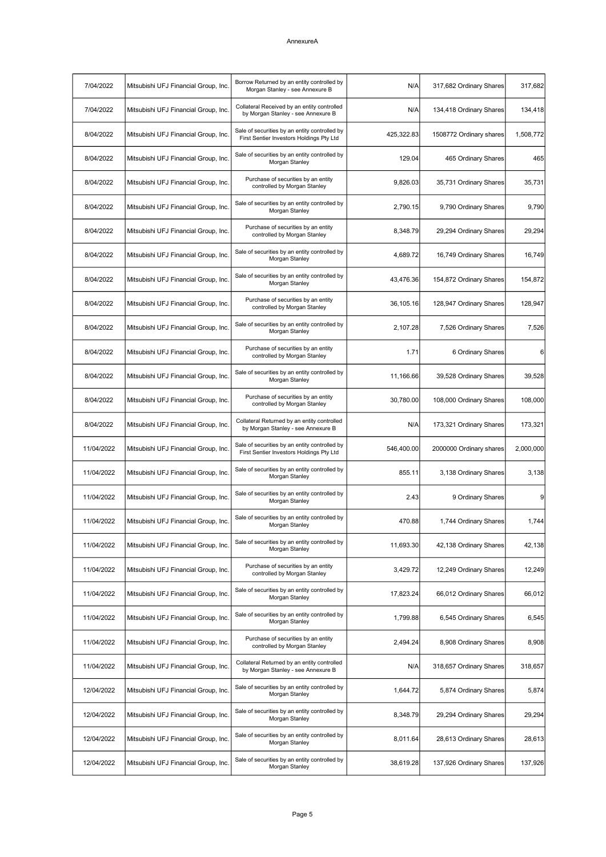| 7/04/2022  | Mitsubishi UFJ Financial Group, Inc. | Borrow Returned by an entity controlled by<br>Morgan Stanley - see Annexure B             | N/A        | 317,682 Ordinary Shares | 317,682   |
|------------|--------------------------------------|-------------------------------------------------------------------------------------------|------------|-------------------------|-----------|
| 7/04/2022  | Mitsubishi UFJ Financial Group, Inc. | Collateral Received by an entity controlled<br>by Morgan Stanley - see Annexure B         | N/A        | 134,418 Ordinary Shares | 134,418   |
| 8/04/2022  | Mitsubishi UFJ Financial Group, Inc. | Sale of securities by an entity controlled by<br>First Sentier Investors Holdings Pty Ltd | 425,322.83 | 1508772 Ordinary shares | 1,508,772 |
| 8/04/2022  | Mitsubishi UFJ Financial Group, Inc. | Sale of securities by an entity controlled by<br>Morgan Stanley                           | 129.04     | 465 Ordinary Shares     | 465       |
| 8/04/2022  | Mitsubishi UFJ Financial Group, Inc. | Purchase of securities by an entity<br>controlled by Morgan Stanley                       | 9,826.03   | 35,731 Ordinary Shares  | 35,731    |
| 8/04/2022  | Mitsubishi UFJ Financial Group, Inc. | Sale of securities by an entity controlled by<br>Morgan Stanley                           | 2,790.15   | 9,790 Ordinary Shares   | 9,790     |
| 8/04/2022  | Mitsubishi UFJ Financial Group, Inc. | Purchase of securities by an entity<br>controlled by Morgan Stanley                       | 8,348.79   | 29,294 Ordinary Shares  | 29,294    |
| 8/04/2022  | Mitsubishi UFJ Financial Group, Inc. | Sale of securities by an entity controlled by<br>Morgan Stanley                           | 4,689.72   | 16,749 Ordinary Shares  | 16,749    |
| 8/04/2022  | Mitsubishi UFJ Financial Group, Inc. | Sale of securities by an entity controlled by<br>Morgan Stanley                           | 43,476.36  | 154,872 Ordinary Shares | 154,872   |
| 8/04/2022  | Mitsubishi UFJ Financial Group, Inc. | Purchase of securities by an entity<br>controlled by Morgan Stanley                       | 36,105.16  | 128,947 Ordinary Shares | 128,947   |
| 8/04/2022  | Mitsubishi UFJ Financial Group, Inc. | Sale of securities by an entity controlled by<br>Morgan Stanley                           | 2,107.28   | 7,526 Ordinary Shares   | 7,526     |
| 8/04/2022  | Mitsubishi UFJ Financial Group, Inc. | Purchase of securities by an entity<br>controlled by Morgan Stanley                       | 1.71       | 6 Ordinary Shares       | $6 \,$    |
| 8/04/2022  | Mitsubishi UFJ Financial Group, Inc. | Sale of securities by an entity controlled by<br>Morgan Stanley                           | 11,166.66  | 39,528 Ordinary Shares  | 39,528    |
| 8/04/2022  | Mitsubishi UFJ Financial Group, Inc. | Purchase of securities by an entity<br>controlled by Morgan Stanley                       | 30,780.00  | 108,000 Ordinary Shares | 108,000   |
| 8/04/2022  | Mitsubishi UFJ Financial Group, Inc. | Collateral Returned by an entity controlled<br>by Morgan Stanley - see Annexure B         | N/A        | 173,321 Ordinary Shares | 173,321   |
| 11/04/2022 | Mitsubishi UFJ Financial Group, Inc. | Sale of securities by an entity controlled by<br>First Sentier Investors Holdings Pty Ltd | 546,400.00 | 2000000 Ordinary shares | 2,000,000 |
| 11/04/2022 | Mitsubishi UFJ Financial Group, Inc. | Sale of securities by an entity controlled by<br>Morgan Stanley                           | 855.11     | 3,138 Ordinary Shares   | 3,138     |
| 11/04/2022 | Mitsubishi UFJ Financial Group, Inc. | Sale of securities by an entity controlled by<br>Morgan Stanley                           | 2.43       | 9 Ordinary Shares       | 9         |
| 11/04/2022 | Mitsubishi UFJ Financial Group, Inc. | Sale of securities by an entity controlled by<br>Morgan Stanley                           | 470.88     | 1,744 Ordinary Shares   | 1,744     |
| 11/04/2022 | Mitsubishi UFJ Financial Group, Inc. | Sale of securities by an entity controlled by<br>Morgan Stanley                           | 11,693.30  | 42,138 Ordinary Shares  | 42,138    |
| 11/04/2022 | Mitsubishi UFJ Financial Group, Inc. | Purchase of securities by an entity<br>controlled by Morgan Stanley                       | 3,429.72   | 12,249 Ordinary Shares  | 12,249    |
| 11/04/2022 | Mitsubishi UFJ Financial Group, Inc. | Sale of securities by an entity controlled by<br>Morgan Stanley                           | 17,823.24  | 66,012 Ordinary Shares  | 66,012    |
| 11/04/2022 | Mitsubishi UFJ Financial Group, Inc. | Sale of securities by an entity controlled by<br>Morgan Stanley                           | 1,799.88   | 6,545 Ordinary Shares   | 6,545     |
| 11/04/2022 | Mitsubishi UFJ Financial Group, Inc. | Purchase of securities by an entity<br>controlled by Morgan Stanley                       | 2,494.24   | 8,908 Ordinary Shares   | 8,908     |
| 11/04/2022 | Mitsubishi UFJ Financial Group, Inc. | Collateral Returned by an entity controlled<br>by Morgan Stanley - see Annexure B         | N/A        | 318,657 Ordinary Shares | 318,657   |
| 12/04/2022 | Mitsubishi UFJ Financial Group, Inc. | Sale of securities by an entity controlled by<br>Morgan Stanley                           | 1,644.72   | 5,874 Ordinary Shares   | 5,874     |
| 12/04/2022 | Mitsubishi UFJ Financial Group, Inc. | Sale of securities by an entity controlled by<br>Morgan Stanley                           | 8,348.79   | 29,294 Ordinary Shares  | 29,294    |
| 12/04/2022 | Mitsubishi UFJ Financial Group, Inc. | Sale of securities by an entity controlled by<br>Morgan Stanley                           | 8,011.64   | 28,613 Ordinary Shares  | 28,613    |
| 12/04/2022 | Mitsubishi UFJ Financial Group, Inc. | Sale of securities by an entity controlled by<br>Morgan Stanley                           | 38,619.28  | 137,926 Ordinary Shares | 137,926   |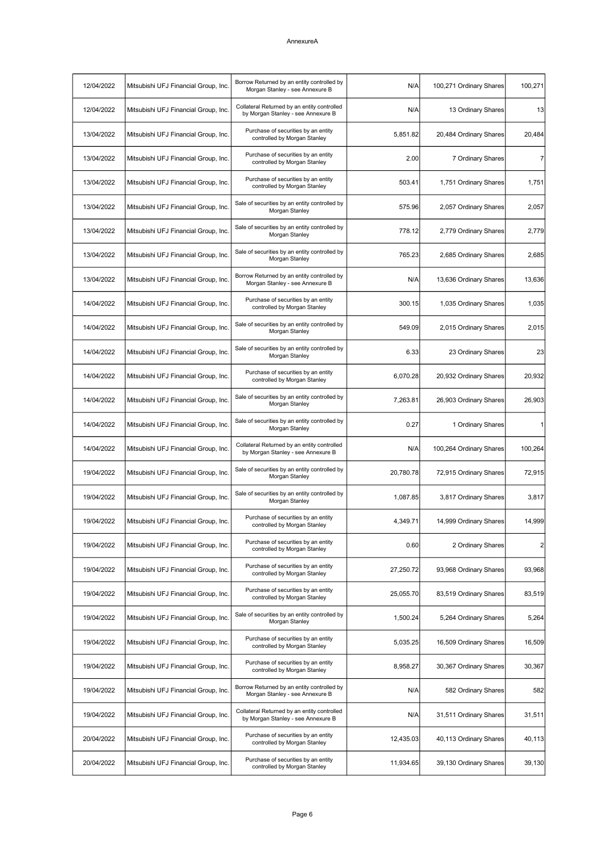| 12/04/2022 | Mitsubishi UFJ Financial Group, Inc. | Borrow Returned by an entity controlled by<br>Morgan Stanley - see Annexure B     | N/A       | 100,271 Ordinary Shares | 100,271        |
|------------|--------------------------------------|-----------------------------------------------------------------------------------|-----------|-------------------------|----------------|
| 12/04/2022 | Mitsubishi UFJ Financial Group, Inc. | Collateral Returned by an entity controlled<br>by Morgan Stanley - see Annexure B | N/A       | 13 Ordinary Shares      | 13             |
| 13/04/2022 | Mitsubishi UFJ Financial Group, Inc. | Purchase of securities by an entity<br>controlled by Morgan Stanley               | 5,851.82  | 20,484 Ordinary Shares  | 20,484         |
| 13/04/2022 | Mitsubishi UFJ Financial Group, Inc. | Purchase of securities by an entity<br>controlled by Morgan Stanley               | 2.00      | 7 Ordinary Shares       | 7              |
| 13/04/2022 | Mitsubishi UFJ Financial Group, Inc. | Purchase of securities by an entity<br>controlled by Morgan Stanley               | 503.41    | 1,751 Ordinary Shares   | 1,751          |
| 13/04/2022 | Mitsubishi UFJ Financial Group, Inc. | Sale of securities by an entity controlled by<br>Morgan Stanley                   | 575.96    | 2,057 Ordinary Shares   | 2,057          |
| 13/04/2022 | Mitsubishi UFJ Financial Group, Inc. | Sale of securities by an entity controlled by<br>Morgan Stanley                   | 778.12    | 2,779 Ordinary Shares   | 2,779          |
| 13/04/2022 | Mitsubishi UFJ Financial Group, Inc. | Sale of securities by an entity controlled by<br>Morgan Stanley                   | 765.23    | 2,685 Ordinary Shares   | 2,685          |
| 13/04/2022 | Mitsubishi UFJ Financial Group, Inc. | Borrow Returned by an entity controlled by<br>Morgan Stanley - see Annexure B     | N/A       | 13,636 Ordinary Shares  | 13,636         |
| 14/04/2022 | Mitsubishi UFJ Financial Group, Inc. | Purchase of securities by an entity<br>controlled by Morgan Stanley               | 300.15    | 1,035 Ordinary Shares   | 1,035          |
| 14/04/2022 | Mitsubishi UFJ Financial Group, Inc. | Sale of securities by an entity controlled by<br>Morgan Stanley                   | 549.09    | 2,015 Ordinary Shares   | 2,015          |
| 14/04/2022 | Mitsubishi UFJ Financial Group, Inc. | Sale of securities by an entity controlled by<br>Morgan Stanley                   | 6.33      | 23 Ordinary Shares      | 23             |
| 14/04/2022 | Mitsubishi UFJ Financial Group, Inc. | Purchase of securities by an entity<br>controlled by Morgan Stanley               | 6,070.28  | 20,932 Ordinary Shares  | 20,932         |
| 14/04/2022 | Mitsubishi UFJ Financial Group, Inc. | Sale of securities by an entity controlled by<br>Morgan Stanley                   | 7,263.81  | 26,903 Ordinary Shares  | 26,903         |
| 14/04/2022 | Mitsubishi UFJ Financial Group, Inc. | Sale of securities by an entity controlled by<br>Morgan Stanley                   | 0.27      | 1 Ordinary Shares       | 1              |
| 14/04/2022 | Mitsubishi UFJ Financial Group, Inc. | Collateral Returned by an entity controlled<br>by Morgan Stanley - see Annexure B | N/A       | 100,264 Ordinary Shares | 100,264        |
| 19/04/2022 | Mitsubishi UFJ Financial Group, Inc. | Sale of securities by an entity controlled by<br>Morgan Stanley                   | 20,780.78 | 72,915 Ordinary Shares  | 72,915         |
| 19/04/2022 | Mitsubishi UFJ Financial Group, Inc. | Sale of securities by an entity controlled by<br>Morgan Stanley                   | 1,087.85  | 3,817 Ordinary Shares   | 3,817          |
| 19/04/2022 | Mitsubishi UFJ Financial Group, Inc. | Purchase of securities by an entity<br>controlled by Morgan Stanley               | 4,349.71  | 14,999 Ordinary Shares  | 14,999         |
| 19/04/2022 | Mitsubishi UFJ Financial Group, Inc. | Purchase of securities by an entity<br>controlled by Morgan Stanley               | 0.60      | 2 Ordinary Shares       | $\overline{2}$ |
| 19/04/2022 | Mitsubishi UFJ Financial Group, Inc. | Purchase of securities by an entity<br>controlled by Morgan Stanley               | 27,250.72 | 93,968 Ordinary Shares  | 93,968         |
| 19/04/2022 | Mitsubishi UFJ Financial Group, Inc. | Purchase of securities by an entity<br>controlled by Morgan Stanley               | 25,055.70 | 83,519 Ordinary Shares  | 83,519         |
| 19/04/2022 | Mitsubishi UFJ Financial Group, Inc. | Sale of securities by an entity controlled by<br>Morgan Stanley                   | 1,500.24  | 5,264 Ordinary Shares   | 5,264          |
| 19/04/2022 | Mitsubishi UFJ Financial Group, Inc. | Purchase of securities by an entity<br>controlled by Morgan Stanley               | 5,035.25  | 16,509 Ordinary Shares  | 16,509         |
| 19/04/2022 | Mitsubishi UFJ Financial Group, Inc. | Purchase of securities by an entity<br>controlled by Morgan Stanley               | 8,958.27  | 30,367 Ordinary Shares  | 30,367         |
| 19/04/2022 | Mitsubishi UFJ Financial Group, Inc. | Borrow Returned by an entity controlled by<br>Morgan Stanley - see Annexure B     | N/A       | 582 Ordinary Shares     | 582            |
| 19/04/2022 | Mitsubishi UFJ Financial Group, Inc. | Collateral Returned by an entity controlled<br>by Morgan Stanley - see Annexure B | N/A       | 31,511 Ordinary Shares  | 31,511         |
| 20/04/2022 | Mitsubishi UFJ Financial Group, Inc. | Purchase of securities by an entity<br>controlled by Morgan Stanley               | 12,435.03 | 40,113 Ordinary Shares  | 40,113         |
| 20/04/2022 | Mitsubishi UFJ Financial Group, Inc. | Purchase of securities by an entity<br>controlled by Morgan Stanley               | 11,934.65 | 39,130 Ordinary Shares  | 39,130         |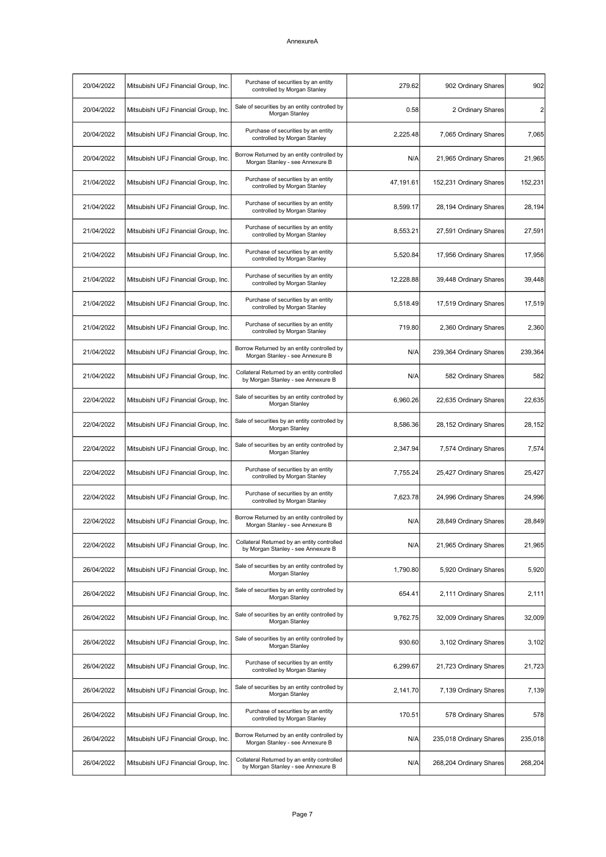| 20/04/2022 | Mitsubishi UFJ Financial Group, Inc. | Purchase of securities by an entity<br>controlled by Morgan Stanley               | 279.62    | 902 Ordinary Shares     | 902            |
|------------|--------------------------------------|-----------------------------------------------------------------------------------|-----------|-------------------------|----------------|
| 20/04/2022 | Mitsubishi UFJ Financial Group, Inc. | Sale of securities by an entity controlled by<br>Morgan Stanley                   | 0.58      | 2 Ordinary Shares       | $\overline{2}$ |
| 20/04/2022 | Mitsubishi UFJ Financial Group, Inc. | Purchase of securities by an entity<br>controlled by Morgan Stanley               | 2,225.48  | 7,065 Ordinary Shares   | 7,065          |
| 20/04/2022 | Mitsubishi UFJ Financial Group, Inc. | Borrow Returned by an entity controlled by<br>Morgan Stanley - see Annexure B     | N/A       | 21,965 Ordinary Shares  | 21,965         |
| 21/04/2022 | Mitsubishi UFJ Financial Group, Inc. | Purchase of securities by an entity<br>controlled by Morgan Stanley               | 47,191.61 | 152,231 Ordinary Shares | 152,231        |
| 21/04/2022 | Mitsubishi UFJ Financial Group, Inc. | Purchase of securities by an entity<br>controlled by Morgan Stanley               | 8,599.17  | 28,194 Ordinary Shares  | 28,194         |
| 21/04/2022 | Mitsubishi UFJ Financial Group, Inc. | Purchase of securities by an entity<br>controlled by Morgan Stanley               | 8,553.21  | 27,591 Ordinary Shares  | 27,591         |
| 21/04/2022 | Mitsubishi UFJ Financial Group, Inc. | Purchase of securities by an entity<br>controlled by Morgan Stanley               | 5,520.84  | 17,956 Ordinary Shares  | 17,956         |
| 21/04/2022 | Mitsubishi UFJ Financial Group, Inc. | Purchase of securities by an entity<br>controlled by Morgan Stanley               | 12,228.88 | 39,448 Ordinary Shares  | 39,448         |
| 21/04/2022 | Mitsubishi UFJ Financial Group, Inc. | Purchase of securities by an entity<br>controlled by Morgan Stanley               | 5,518.49  | 17,519 Ordinary Shares  | 17,519         |
| 21/04/2022 | Mitsubishi UFJ Financial Group, Inc. | Purchase of securities by an entity<br>controlled by Morgan Stanley               | 719.80    | 2,360 Ordinary Shares   | 2,360          |
| 21/04/2022 | Mitsubishi UFJ Financial Group, Inc. | Borrow Returned by an entity controlled by<br>Morgan Stanley - see Annexure B     | N/A       | 239,364 Ordinary Shares | 239,364        |
| 21/04/2022 | Mitsubishi UFJ Financial Group, Inc. | Collateral Returned by an entity controlled<br>by Morgan Stanley - see Annexure B | N/A       | 582 Ordinary Shares     | 582            |
| 22/04/2022 | Mitsubishi UFJ Financial Group, Inc. | Sale of securities by an entity controlled by<br>Morgan Stanley                   | 6,960.26  | 22,635 Ordinary Shares  | 22,635         |
| 22/04/2022 | Mitsubishi UFJ Financial Group, Inc. | Sale of securities by an entity controlled by<br>Morgan Stanley                   | 8,586.36  | 28,152 Ordinary Shares  | 28,152         |
| 22/04/2022 | Mitsubishi UFJ Financial Group, Inc. | Sale of securities by an entity controlled by<br>Morgan Stanley                   | 2,347.94  | 7,574 Ordinary Shares   | 7,574          |
| 22/04/2022 | Mitsubishi UFJ Financial Group, Inc. | Purchase of securities by an entity<br>controlled by Morgan Stanley               | 7,755.24  | 25,427 Ordinary Shares  | 25,427         |
| 22/04/2022 | Mitsubishi UFJ Financial Group, Inc. | Purchase of securities by an entity<br>controlled by Morgan Stanley               | 7.623.78  | 24,996 Ordinary Shares  | 24,996         |
| 22/04/2022 | Mitsubishi UFJ Financial Group, Inc. | Borrow Returned by an entity controlled by<br>Morgan Stanley - see Annexure B     | N/A       | 28,849 Ordinary Shares  | 28,849         |
| 22/04/2022 | Mitsubishi UFJ Financial Group, Inc. | Collateral Returned by an entity controlled<br>by Morgan Stanley - see Annexure B | N/A       | 21,965 Ordinary Shares  | 21,965         |
| 26/04/2022 | Mitsubishi UFJ Financial Group, Inc. | Sale of securities by an entity controlled by<br>Morgan Stanley                   | 1,790.80  | 5,920 Ordinary Shares   | 5,920          |
| 26/04/2022 | Mitsubishi UFJ Financial Group, Inc. | Sale of securities by an entity controlled by<br>Morgan Stanley                   | 654.41    | 2,111 Ordinary Shares   | 2,111          |
| 26/04/2022 | Mitsubishi UFJ Financial Group, Inc. | Sale of securities by an entity controlled by<br>Morgan Stanley                   | 9.762.75  | 32,009 Ordinary Shares  | 32,009         |
| 26/04/2022 | Mitsubishi UFJ Financial Group, Inc. | Sale of securities by an entity controlled by<br>Morgan Stanley                   | 930.60    | 3,102 Ordinary Shares   | 3,102          |
| 26/04/2022 | Mitsubishi UFJ Financial Group, Inc. | Purchase of securities by an entity<br>controlled by Morgan Stanley               | 6,299.67  | 21,723 Ordinary Shares  | 21,723         |
| 26/04/2022 | Mitsubishi UFJ Financial Group, Inc. | Sale of securities by an entity controlled by<br>Morgan Stanley                   | 2,141.70  | 7,139 Ordinary Shares   | 7,139          |
| 26/04/2022 | Mitsubishi UFJ Financial Group, Inc. | Purchase of securities by an entity<br>controlled by Morgan Stanley               | 170.51    | 578 Ordinary Shares     | 578            |
| 26/04/2022 | Mitsubishi UFJ Financial Group, Inc. | Borrow Returned by an entity controlled by<br>Morgan Stanley - see Annexure B     | N/A       | 235,018 Ordinary Shares | 235,018        |
| 26/04/2022 | Mitsubishi UFJ Financial Group, Inc. | Collateral Returned by an entity controlled<br>by Morgan Stanley - see Annexure B | N/A       | 268,204 Ordinary Shares | 268,204        |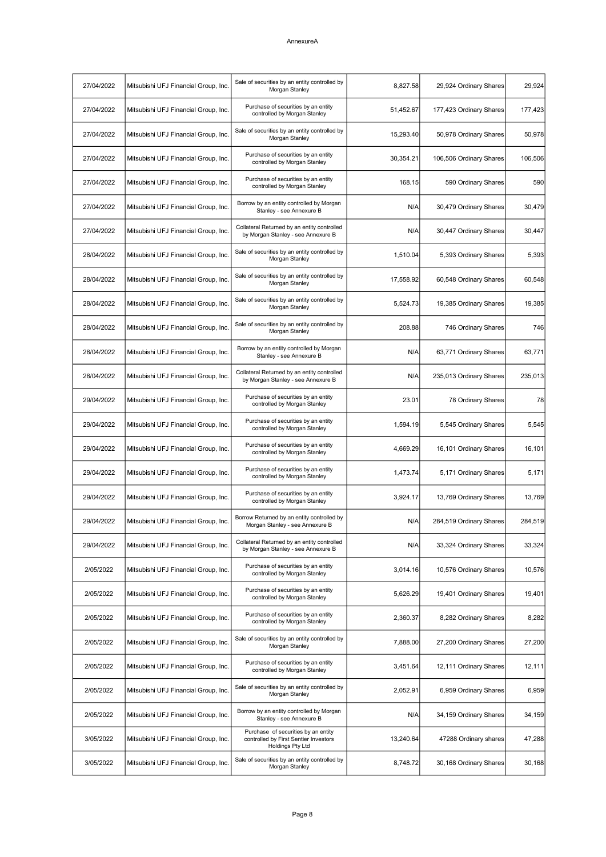| 27/04/2022 | Mitsubishi UFJ Financial Group, Inc. | Sale of securities by an entity controlled by<br>Morgan Stanley                                  | 8,827.58  | 29,924 Ordinary Shares  | 29,924  |
|------------|--------------------------------------|--------------------------------------------------------------------------------------------------|-----------|-------------------------|---------|
| 27/04/2022 | Mitsubishi UFJ Financial Group, Inc. | Purchase of securities by an entity<br>controlled by Morgan Stanley                              | 51,452.67 | 177,423 Ordinary Shares | 177,423 |
| 27/04/2022 | Mitsubishi UFJ Financial Group, Inc. | Sale of securities by an entity controlled by<br>Morgan Stanley                                  | 15,293.40 | 50,978 Ordinary Shares  | 50,978  |
| 27/04/2022 | Mitsubishi UFJ Financial Group, Inc. | Purchase of securities by an entity<br>controlled by Morgan Stanley                              | 30,354.21 | 106,506 Ordinary Shares | 106,506 |
| 27/04/2022 | Mitsubishi UFJ Financial Group, Inc. | Purchase of securities by an entity<br>controlled by Morgan Stanley                              | 168.15    | 590 Ordinary Shares     | 590     |
| 27/04/2022 | Mitsubishi UFJ Financial Group, Inc. | Borrow by an entity controlled by Morgan<br>Stanley - see Annexure B                             | N/A       | 30,479 Ordinary Shares  | 30,479  |
| 27/04/2022 | Mitsubishi UFJ Financial Group, Inc. | Collateral Returned by an entity controlled<br>by Morgan Stanley - see Annexure B                | N/A       | 30,447 Ordinary Shares  | 30,447  |
| 28/04/2022 | Mitsubishi UFJ Financial Group, Inc. | Sale of securities by an entity controlled by<br>Morgan Stanley                                  | 1,510.04  | 5,393 Ordinary Shares   | 5,393   |
| 28/04/2022 | Mitsubishi UFJ Financial Group, Inc. | Sale of securities by an entity controlled by<br>Morgan Stanley                                  | 17,558.92 | 60,548 Ordinary Shares  | 60,548  |
| 28/04/2022 | Mitsubishi UFJ Financial Group, Inc. | Sale of securities by an entity controlled by<br>Morgan Stanley                                  | 5.524.73  | 19,385 Ordinary Shares  | 19,385  |
| 28/04/2022 | Mitsubishi UFJ Financial Group, Inc. | Sale of securities by an entity controlled by<br>Morgan Stanley                                  | 208.88    | 746 Ordinary Shares     | 746     |
| 28/04/2022 | Mitsubishi UFJ Financial Group, Inc. | Borrow by an entity controlled by Morgan<br>Stanley - see Annexure B                             | N/A       | 63,771 Ordinary Shares  | 63,771  |
| 28/04/2022 | Mitsubishi UFJ Financial Group, Inc. | Collateral Returned by an entity controlled<br>by Morgan Stanley - see Annexure B                | N/A       | 235,013 Ordinary Shares | 235,013 |
| 29/04/2022 | Mitsubishi UFJ Financial Group, Inc. | Purchase of securities by an entity<br>controlled by Morgan Stanley                              | 23.01     | 78 Ordinary Shares      | 78      |
| 29/04/2022 | Mitsubishi UFJ Financial Group, Inc. | Purchase of securities by an entity<br>controlled by Morgan Stanley                              | 1,594.19  | 5,545 Ordinary Shares   | 5,545   |
| 29/04/2022 | Mitsubishi UFJ Financial Group, Inc. | Purchase of securities by an entity<br>controlled by Morgan Stanley                              | 4,669.29  | 16,101 Ordinary Shares  | 16,101  |
| 29/04/2022 | Mitsubishi UFJ Financial Group, Inc. | Purchase of securities by an entity<br>controlled by Morgan Stanley                              | 1,473.74  | 5,171 Ordinary Shares   | 5,171   |
| 29/04/2022 | Mitsubishi UFJ Financial Group, Inc. | Purchase of securities by an entity<br>controlled by Morgan Stanley                              | 3,924.17  | 13,769 Ordinary Shares  | 13,769  |
| 29/04/2022 | Mitsubishi UFJ Financial Group, Inc. | Borrow Returned by an entity controlled by<br>Morgan Stanley - see Annexure B                    | N/A       | 284,519 Ordinary Shares | 284,519 |
| 29/04/2022 | Mitsubishi UFJ Financial Group, Inc. | Collateral Returned by an entity controlled<br>by Morgan Stanley - see Annexure B                | N/A       | 33,324 Ordinary Shares  | 33,324  |
| 2/05/2022  | Mitsubishi UFJ Financial Group, Inc. | Purchase of securities by an entity<br>controlled by Morgan Stanley                              | 3,014.16  | 10,576 Ordinary Shares  | 10,576  |
| 2/05/2022  | Mitsubishi UFJ Financial Group, Inc. | Purchase of securities by an entity<br>controlled by Morgan Stanley                              | 5.626.29  | 19,401 Ordinary Shares  | 19,401  |
| 2/05/2022  | Mitsubishi UFJ Financial Group, Inc. | Purchase of securities by an entity<br>controlled by Morgan Stanley                              | 2,360.37  | 8,282 Ordinary Shares   | 8,282   |
| 2/05/2022  | Mitsubishi UFJ Financial Group, Inc. | Sale of securities by an entity controlled by<br>Morgan Stanley                                  | 7,888.00  | 27,200 Ordinary Shares  | 27,200  |
| 2/05/2022  | Mitsubishi UFJ Financial Group, Inc. | Purchase of securities by an entity<br>controlled by Morgan Stanley                              | 3,451.64  | 12,111 Ordinary Shares  | 12,111  |
| 2/05/2022  | Mitsubishi UFJ Financial Group, Inc. | Sale of securities by an entity controlled by<br>Morgan Stanley                                  | 2,052.91  | 6,959 Ordinary Shares   | 6,959   |
| 2/05/2022  | Mitsubishi UFJ Financial Group, Inc. | Borrow by an entity controlled by Morgan<br>Stanley - see Annexure B                             | N/A       | 34,159 Ordinary Shares  | 34,159  |
| 3/05/2022  | Mitsubishi UFJ Financial Group, Inc. | Purchase of securities by an entity<br>controlled by First Sentier Investors<br>Holdings Pty Ltd | 13,240.64 | 47288 Ordinary shares   | 47,288  |
| 3/05/2022  | Mitsubishi UFJ Financial Group, Inc. | Sale of securities by an entity controlled by<br>Morgan Stanley                                  | 8,748.72  | 30,168 Ordinary Shares  | 30,168  |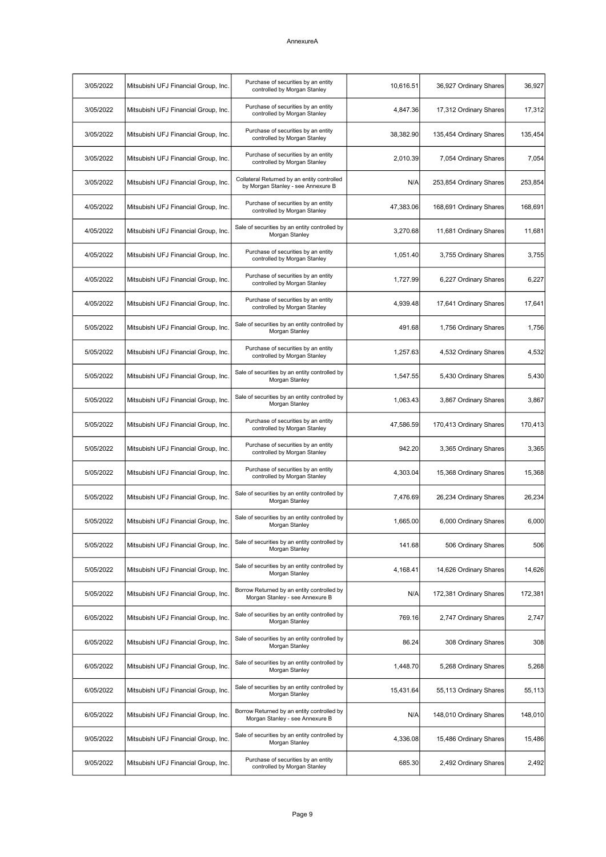| 3/05/2022 | Mitsubishi UFJ Financial Group, Inc. | Purchase of securities by an entity<br>controlled by Morgan Stanley               | 10,616.51 | 36,927 Ordinary Shares  | 36,927  |
|-----------|--------------------------------------|-----------------------------------------------------------------------------------|-----------|-------------------------|---------|
| 3/05/2022 | Mitsubishi UFJ Financial Group, Inc. | Purchase of securities by an entity<br>controlled by Morgan Stanley               | 4,847.36  | 17,312 Ordinary Shares  | 17,312  |
| 3/05/2022 | Mitsubishi UFJ Financial Group, Inc. | Purchase of securities by an entity<br>controlled by Morgan Stanley               | 38,382.90 | 135,454 Ordinary Shares | 135,454 |
| 3/05/2022 | Mitsubishi UFJ Financial Group, Inc. | Purchase of securities by an entity<br>controlled by Morgan Stanley               | 2,010.39  | 7,054 Ordinary Shares   | 7,054   |
| 3/05/2022 | Mitsubishi UFJ Financial Group, Inc. | Collateral Returned by an entity controlled<br>by Morgan Stanley - see Annexure B | N/A       | 253,854 Ordinary Shares | 253,854 |
| 4/05/2022 | Mitsubishi UFJ Financial Group, Inc. | Purchase of securities by an entity<br>controlled by Morgan Stanley               | 47,383.06 | 168,691 Ordinary Shares | 168,691 |
| 4/05/2022 | Mitsubishi UFJ Financial Group, Inc. | Sale of securities by an entity controlled by<br>Morgan Stanley                   | 3,270.68  | 11,681 Ordinary Shares  | 11,681  |
| 4/05/2022 | Mitsubishi UFJ Financial Group, Inc. | Purchase of securities by an entity<br>controlled by Morgan Stanley               | 1,051.40  | 3,755 Ordinary Shares   | 3,755   |
| 4/05/2022 | Mitsubishi UFJ Financial Group, Inc. | Purchase of securities by an entity<br>controlled by Morgan Stanley               | 1,727.99  | 6,227 Ordinary Shares   | 6,227   |
| 4/05/2022 | Mitsubishi UFJ Financial Group, Inc. | Purchase of securities by an entity<br>controlled by Morgan Stanley               | 4,939.48  | 17,641 Ordinary Shares  | 17,641  |
| 5/05/2022 | Mitsubishi UFJ Financial Group, Inc. | Sale of securities by an entity controlled by<br>Morgan Stanley                   | 491.68    | 1,756 Ordinary Shares   | 1,756   |
| 5/05/2022 | Mitsubishi UFJ Financial Group, Inc. | Purchase of securities by an entity<br>controlled by Morgan Stanley               | 1,257.63  | 4,532 Ordinary Shares   | 4,532   |
| 5/05/2022 | Mitsubishi UFJ Financial Group, Inc. | Sale of securities by an entity controlled by<br>Morgan Stanley                   | 1,547.55  | 5,430 Ordinary Shares   | 5,430   |
| 5/05/2022 | Mitsubishi UFJ Financial Group, Inc. | Sale of securities by an entity controlled by<br>Morgan Stanley                   | 1,063.43  | 3,867 Ordinary Shares   | 3,867   |
| 5/05/2022 | Mitsubishi UFJ Financial Group, Inc. | Purchase of securities by an entity<br>controlled by Morgan Stanley               | 47,586.59 | 170,413 Ordinary Shares | 170,413 |
| 5/05/2022 | Mitsubishi UFJ Financial Group, Inc. | Purchase of securities by an entity<br>controlled by Morgan Stanley               | 942.20    | 3,365 Ordinary Shares   | 3,365   |
| 5/05/2022 | Mitsubishi UFJ Financial Group, Inc. | Purchase of securities by an entity<br>controlled by Morgan Stanley               | 4,303.04  | 15,368 Ordinary Shares  | 15,368  |
| 5/05/2022 | Mitsubishi UFJ Financial Group, Inc. | Sale of securities by an entity controlled by<br>Morgan Stanley                   | 7,476.69  | 26,234 Ordinary Shares  | 26,234  |
| 5/05/2022 | Mitsubishi UFJ Financial Group, Inc. | Sale of securities by an entity controlled by<br>Morgan Stanley                   | 1,665.00  | 6,000 Ordinary Shares   | 6,000   |
| 5/05/2022 | Mitsubishi UFJ Financial Group, Inc. | Sale of securities by an entity controlled by<br>Morgan Stanley                   | 141.68    | 506 Ordinary Shares     | 506     |
| 5/05/2022 | Mitsubishi UFJ Financial Group, Inc. | Sale of securities by an entity controlled by<br>Morgan Stanley                   | 4,168.41  | 14,626 Ordinary Shares  | 14,626  |
| 5/05/2022 | Mitsubishi UFJ Financial Group, Inc. | Borrow Returned by an entity controlled by<br>Morgan Stanley - see Annexure B     | N/A       | 172,381 Ordinary Shares | 172,381 |
| 6/05/2022 | Mitsubishi UFJ Financial Group, Inc. | Sale of securities by an entity controlled by<br>Morgan Stanley                   | 769.16    | 2,747 Ordinary Shares   | 2,747   |
| 6/05/2022 | Mitsubishi UFJ Financial Group, Inc. | Sale of securities by an entity controlled by<br>Morgan Stanley                   | 86.24     | 308 Ordinary Shares     | 308     |
| 6/05/2022 | Mitsubishi UFJ Financial Group, Inc. | Sale of securities by an entity controlled by<br>Morgan Stanley                   | 1,448.70  | 5,268 Ordinary Shares   | 5,268   |
| 6/05/2022 | Mitsubishi UFJ Financial Group, Inc. | Sale of securities by an entity controlled by<br>Morgan Stanley                   | 15,431.64 | 55,113 Ordinary Shares  | 55,113  |
| 6/05/2022 | Mitsubishi UFJ Financial Group, Inc. | Borrow Returned by an entity controlled by<br>Morgan Stanley - see Annexure B     | N/A       | 148,010 Ordinary Shares | 148,010 |
| 9/05/2022 | Mitsubishi UFJ Financial Group, Inc. | Sale of securities by an entity controlled by<br>Morgan Stanley                   | 4,336.08  | 15,486 Ordinary Shares  | 15,486  |
| 9/05/2022 | Mitsubishi UFJ Financial Group, Inc. | Purchase of securities by an entity<br>controlled by Morgan Stanley               | 685.30    | 2,492 Ordinary Shares   | 2,492   |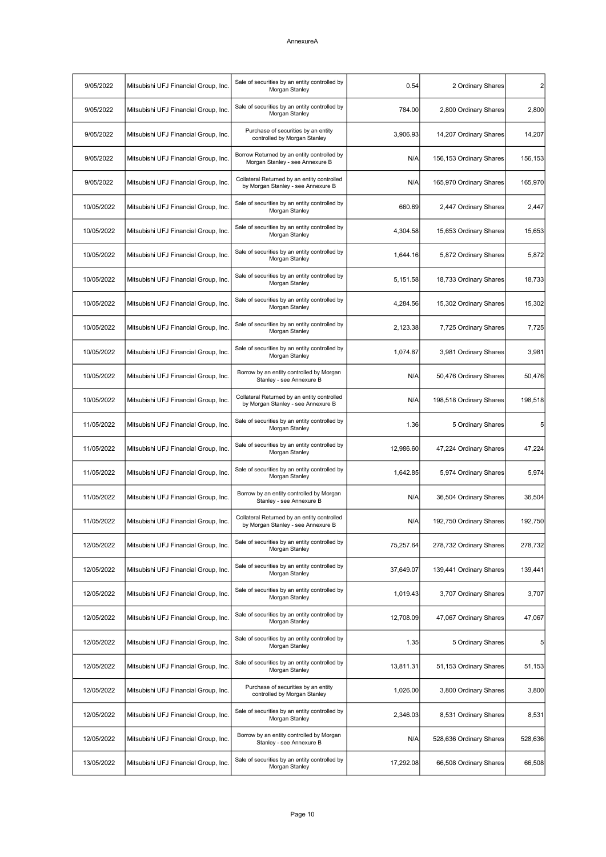| $\mathbf{2}$    | 2 Ordinary Shares       | 0.54      | Sale of securities by an entity controlled by<br>Morgan Stanley                   | Mitsubishi UFJ Financial Group, Inc. | 9/05/2022  |
|-----------------|-------------------------|-----------|-----------------------------------------------------------------------------------|--------------------------------------|------------|
| 2,800           | 2,800 Ordinary Shares   | 784.00    | Sale of securities by an entity controlled by<br>Morgan Stanley                   | Mitsubishi UFJ Financial Group, Inc. | 9/05/2022  |
| 14,207          | 14,207 Ordinary Shares  | 3,906.93  | Purchase of securities by an entity<br>controlled by Morgan Stanley               | Mitsubishi UFJ Financial Group, Inc. | 9/05/2022  |
| 156,153         | 156,153 Ordinary Shares | N/A       | Borrow Returned by an entity controlled by<br>Morgan Stanley - see Annexure B     | Mitsubishi UFJ Financial Group, Inc. | 9/05/2022  |
| 165,970         | 165,970 Ordinary Shares | N/A       | Collateral Returned by an entity controlled<br>by Morgan Stanley - see Annexure B | Mitsubishi UFJ Financial Group, Inc. | 9/05/2022  |
| 2,447           | 2,447 Ordinary Shares   | 660.69    | Sale of securities by an entity controlled by<br>Morgan Stanley                   | Mitsubishi UFJ Financial Group, Inc. | 10/05/2022 |
| 15,653          | 15,653 Ordinary Shares  | 4,304.58  | Sale of securities by an entity controlled by<br>Morgan Stanley                   | Mitsubishi UFJ Financial Group, Inc. | 10/05/2022 |
| 5,872           | 5,872 Ordinary Shares   | 1,644.16  | Sale of securities by an entity controlled by<br>Morgan Stanley                   | Mitsubishi UFJ Financial Group, Inc. | 10/05/2022 |
| 18,733          | 18,733 Ordinary Shares  | 5,151.58  | Sale of securities by an entity controlled by<br>Morgan Stanley                   | Mitsubishi UFJ Financial Group, Inc. | 10/05/2022 |
| 15,302          | 15,302 Ordinary Shares  | 4,284.56  | Sale of securities by an entity controlled by<br>Morgan Stanley                   | Mitsubishi UFJ Financial Group, Inc. | 10/05/2022 |
| 7,725           | 7,725 Ordinary Shares   | 2,123.38  | Sale of securities by an entity controlled by<br>Morgan Stanley                   | Mitsubishi UFJ Financial Group, Inc. | 10/05/2022 |
| 3,981           | 3,981 Ordinary Shares   | 1,074.87  | Sale of securities by an entity controlled by<br>Morgan Stanley                   | Mitsubishi UFJ Financial Group, Inc. | 10/05/2022 |
| 50,476          | 50,476 Ordinary Shares  | N/A       | Borrow by an entity controlled by Morgan<br>Stanley - see Annexure B              | Mitsubishi UFJ Financial Group, Inc. | 10/05/2022 |
| 198,518         | 198,518 Ordinary Shares | N/A       | Collateral Returned by an entity controlled<br>by Morgan Stanley - see Annexure B | Mitsubishi UFJ Financial Group, Inc. | 10/05/2022 |
| $5\overline{)}$ | 5 Ordinary Shares       | 1.36      | Sale of securities by an entity controlled by<br>Morgan Stanley                   | Mitsubishi UFJ Financial Group, Inc. | 11/05/2022 |
| 47,224          | 47,224 Ordinary Shares  | 12,986.60 | Sale of securities by an entity controlled by<br>Morgan Stanley                   | Mitsubishi UFJ Financial Group, Inc. | 11/05/2022 |
| 5,974           | 5,974 Ordinary Shares   | 1,642.85  | Sale of securities by an entity controlled by<br>Morgan Stanley                   | Mitsubishi UFJ Financial Group, Inc. | 11/05/2022 |
| 36,504          | 36,504 Ordinary Shares  | N/A       | Borrow by an entity controlled by Morgan<br>Stanley - see Annexure B              | Mitsubishi UFJ Financial Group, Inc. | 11/05/2022 |
| 192,750         | 192,750 Ordinary Shares | N/A       | Collateral Returned by an entity controlled<br>by Morgan Stanley - see Annexure B | Mitsubishi UFJ Financial Group, Inc. | 11/05/2022 |
| 278,732         | 278,732 Ordinary Shares | 75,257.64 | Sale of securities by an entity controlled by<br>Morgan Stanley                   | Mitsubishi UFJ Financial Group, Inc. | 12/05/2022 |
| 139,441         | 139,441 Ordinary Shares | 37,649.07 | Sale of securities by an entity controlled by<br>Morgan Stanley                   | Mitsubishi UFJ Financial Group, Inc. | 12/05/2022 |
| 3,707           | 3,707 Ordinary Shares   | 1,019.43  | Sale of securities by an entity controlled by<br>Morgan Stanley                   | Mitsubishi UFJ Financial Group, Inc. | 12/05/2022 |
| 47,067          | 47,067 Ordinary Shares  | 12,708.09 | Sale of securities by an entity controlled by<br>Morgan Stanley                   | Mitsubishi UFJ Financial Group, Inc. | 12/05/2022 |
| 5               | 5 Ordinary Shares       | 1.35      | Sale of securities by an entity controlled by<br>Morgan Stanley                   | Mitsubishi UFJ Financial Group, Inc. | 12/05/2022 |
| 51,153          | 51,153 Ordinary Shares  | 13,811.31 | Sale of securities by an entity controlled by<br>Morgan Stanley                   | Mitsubishi UFJ Financial Group, Inc. | 12/05/2022 |
| 3,800           | 3,800 Ordinary Shares   | 1,026.00  | Purchase of securities by an entity<br>controlled by Morgan Stanley               | Mitsubishi UFJ Financial Group, Inc. | 12/05/2022 |
| 8,531           | 8,531 Ordinary Shares   | 2,346.03  | Sale of securities by an entity controlled by<br>Morgan Stanley                   | Mitsubishi UFJ Financial Group, Inc. | 12/05/2022 |
| 528,636         | 528,636 Ordinary Shares | N/A       | Borrow by an entity controlled by Morgan<br>Stanley - see Annexure B              | Mitsubishi UFJ Financial Group, Inc. | 12/05/2022 |
| 66,508          | 66,508 Ordinary Shares  | 17,292.08 | Sale of securities by an entity controlled by<br>Morgan Stanley                   | Mitsubishi UFJ Financial Group, Inc. | 13/05/2022 |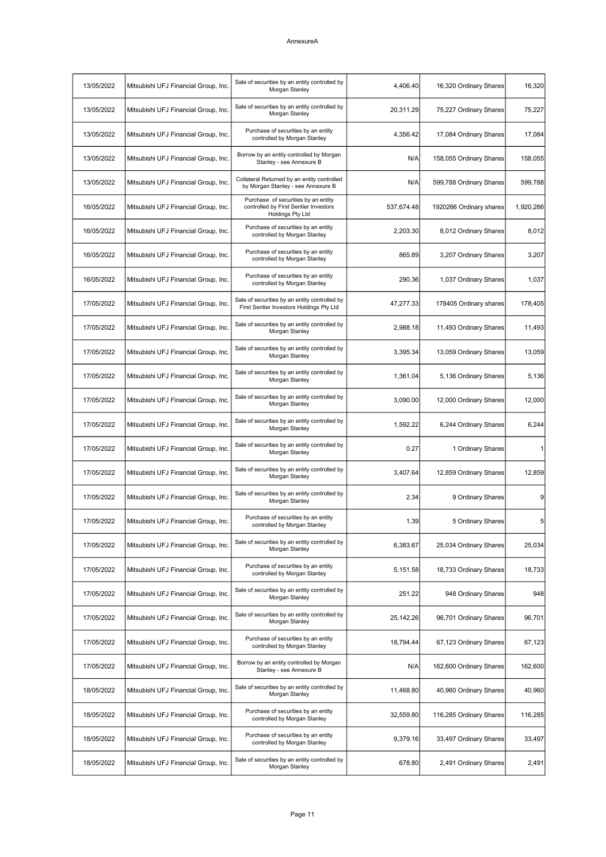| 16,320    | 16,320 Ordinary Shares  | 4,406.40   | Sale of securities by an entity controlled by<br>Morgan Stanley                                         | Mitsubishi UFJ Financial Group, Inc. | 13/05/2022 |
|-----------|-------------------------|------------|---------------------------------------------------------------------------------------------------------|--------------------------------------|------------|
| 75,227    | 75,227 Ordinary Shares  | 20,311.29  | Sale of securities by an entity controlled by<br>Morgan Stanley                                         | Mitsubishi UFJ Financial Group, Inc. | 13/05/2022 |
| 17,084    | 17,084 Ordinary Shares  | 4,356.42   | Purchase of securities by an entity<br>controlled by Morgan Stanley                                     | Mitsubishi UFJ Financial Group, Inc. | 13/05/2022 |
| 158,055   | 158,055 Ordinary Shares | N/A        | Borrow by an entity controlled by Morgan<br>Stanley - see Annexure B                                    | Mitsubishi UFJ Financial Group, Inc. | 13/05/2022 |
| 599,788   | 599,788 Ordinary Shares | N/A        | Collateral Returned by an entity controlled<br>by Morgan Stanley - see Annexure B                       | Mitsubishi UFJ Financial Group, Inc. | 13/05/2022 |
| 1,920,266 | 1920266 Ordinary shares | 537,674.48 | Purchase of securities by an entity<br>controlled by First Sentier Investors<br><b>Holdings Pty Ltd</b> | Mitsubishi UFJ Financial Group, Inc. | 16/05/2022 |
| 8,012     | 8,012 Ordinary Shares   | 2,203.30   | Purchase of securities by an entity<br>controlled by Morgan Stanley                                     | Mitsubishi UFJ Financial Group, Inc. | 16/05/2022 |
| 3,207     | 3,207 Ordinary Shares   | 865.89     | Purchase of securities by an entity<br>controlled by Morgan Stanley                                     | Mitsubishi UFJ Financial Group, Inc. | 16/05/2022 |
| 1,037     | 1,037 Ordinary Shares   | 290.36     | Purchase of securities by an entity<br>controlled by Morgan Stanley                                     | Mitsubishi UFJ Financial Group, Inc. | 16/05/2022 |
| 178,405   | 178405 Ordinary shares  | 47,277.33  | Sale of securities by an entity controlled by<br>First Sentier Investors Holdings Pty Ltd               | Mitsubishi UFJ Financial Group, Inc. | 17/05/2022 |
| 11,493    | 11,493 Ordinary Shares  | 2,988.18   | Sale of securities by an entity controlled by<br>Morgan Stanley                                         | Mitsubishi UFJ Financial Group, Inc. | 17/05/2022 |
| 13,059    | 13,059 Ordinary Shares  | 3,395.34   | Sale of securities by an entity controlled by<br>Morgan Stanley                                         | Mitsubishi UFJ Financial Group, Inc. | 17/05/2022 |
| 5,136     | 5,136 Ordinary Shares   | 1,361.04   | Sale of securities by an entity controlled by<br>Morgan Stanley                                         | Mitsubishi UFJ Financial Group, Inc. | 17/05/2022 |
| 12,000    | 12,000 Ordinary Shares  | 3,090.00   | Sale of securities by an entity controlled by<br>Morgan Stanley                                         | Mitsubishi UFJ Financial Group, Inc. | 17/05/2022 |
| 6,244     | 6,244 Ordinary Shares   | 1,592.22   | Sale of securities by an entity controlled by<br>Morgan Stanley                                         | Mitsubishi UFJ Financial Group, Inc. | 17/05/2022 |
|           | 1 Ordinary Shares       | 0.27       | Sale of securities by an entity controlled by<br>Morgan Stanley                                         | Mitsubishi UFJ Financial Group, Inc. | 17/05/2022 |
| 12,859    | 12,859 Ordinary Shares  | 3,407.64   | Sale of securities by an entity controlled by<br>Morgan Stanley                                         | Mitsubishi UFJ Financial Group, Inc. | 17/05/2022 |
| 9         | 9 Ordinary Shares       | 2.34       | Sale of securities by an entity controlled by<br>Morgan Stanley                                         | Mitsubishi UFJ Financial Group, Inc. | 17/05/2022 |
| 5         | 5 Ordinary Shares       | 1.39       | Purchase of securities by an entity<br>controlled by Morgan Stanley                                     | Mitsubishi UFJ Financial Group, Inc. | 17/05/2022 |
| 25,034    | 25,034 Ordinary Shares  | 6,383.67   | Sale of securities by an entity controlled by<br>Morgan Stanley                                         | Mitsubishi UFJ Financial Group, Inc. | 17/05/2022 |
| 18,733    | 18,733 Ordinary Shares  | 5,151.58   | Purchase of securities by an entity<br>controlled by Morgan Stanley                                     | Mitsubishi UFJ Financial Group, Inc. | 17/05/2022 |
| 948       | 948 Ordinary Shares     | 251.22     | Sale of securities by an entity controlled by<br>Morgan Stanley                                         | Mitsubishi UFJ Financial Group, Inc. | 17/05/2022 |
| 96,701    | 96,701 Ordinary Shares  | 25,142.26  | Sale of securities by an entity controlled by<br>Morgan Stanley                                         | Mitsubishi UFJ Financial Group, Inc. | 17/05/2022 |
| 67,123    | 67,123 Ordinary Shares  | 18,794.44  | Purchase of securities by an entity<br>controlled by Morgan Stanley                                     | Mitsubishi UFJ Financial Group, Inc. | 17/05/2022 |
| 162,600   | 162,600 Ordinary Shares | N/A        | Borrow by an entity controlled by Morgan<br>Stanley - see Annexure B                                    | Mitsubishi UFJ Financial Group, Inc. | 17/05/2022 |
| 40,960    | 40,960 Ordinary Shares  | 11,468.80  | Sale of securities by an entity controlled by<br>Morgan Stanley                                         | Mitsubishi UFJ Financial Group, Inc. | 18/05/2022 |
| 116,285   | 116,285 Ordinary Shares | 32,559.80  | Purchase of securities by an entity<br>controlled by Morgan Stanley                                     | Mitsubishi UFJ Financial Group, Inc. | 18/05/2022 |
| 33,497    | 33,497 Ordinary Shares  | 9,379.16   | Purchase of securities by an entity<br>controlled by Morgan Stanley                                     | Mitsubishi UFJ Financial Group, Inc. | 18/05/2022 |
| 2,491     | 2,491 Ordinary Shares   | 678.80     | Sale of securities by an entity controlled by<br>Morgan Stanley                                         | Mitsubishi UFJ Financial Group, Inc. | 18/05/2022 |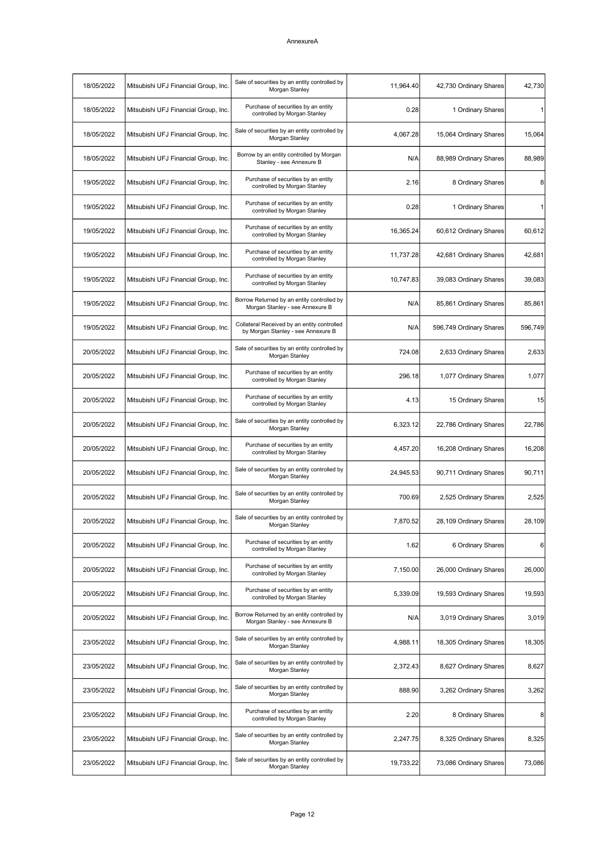| 18/05/2022 | Mitsubishi UFJ Financial Group, Inc. | Sale of securities by an entity controlled by<br>Morgan Stanley                   | 11,964.40 | 42,730 Ordinary Shares  | 42,730  |
|------------|--------------------------------------|-----------------------------------------------------------------------------------|-----------|-------------------------|---------|
| 18/05/2022 | Mitsubishi UFJ Financial Group, Inc. | Purchase of securities by an entity<br>controlled by Morgan Stanley               | 0.28      | 1 Ordinary Shares       |         |
| 18/05/2022 | Mitsubishi UFJ Financial Group, Inc. | Sale of securities by an entity controlled by<br>Morgan Stanley                   | 4,067.28  | 15,064 Ordinary Shares  | 15,064  |
| 18/05/2022 | Mitsubishi UFJ Financial Group, Inc. | Borrow by an entity controlled by Morgan<br>Stanley - see Annexure B              | N/A       | 88,989 Ordinary Shares  | 88,989  |
| 19/05/2022 | Mitsubishi UFJ Financial Group, Inc. | Purchase of securities by an entity<br>controlled by Morgan Stanley               | 2.16      | 8 Ordinary Shares       | 8       |
| 19/05/2022 | Mitsubishi UFJ Financial Group, Inc. | Purchase of securities by an entity<br>controlled by Morgan Stanley               | 0.28      | 1 Ordinary Shares       | 1       |
| 19/05/2022 | Mitsubishi UFJ Financial Group, Inc. | Purchase of securities by an entity<br>controlled by Morgan Stanley               | 16,365.24 | 60,612 Ordinary Shares  | 60,612  |
| 19/05/2022 | Mitsubishi UFJ Financial Group, Inc. | Purchase of securities by an entity<br>controlled by Morgan Stanley               | 11,737.28 | 42,681 Ordinary Shares  | 42,681  |
| 19/05/2022 | Mitsubishi UFJ Financial Group, Inc. | Purchase of securities by an entity<br>controlled by Morgan Stanley               | 10,747.83 | 39,083 Ordinary Shares  | 39,083  |
| 19/05/2022 | Mitsubishi UFJ Financial Group, Inc. | Borrow Returned by an entity controlled by<br>Morgan Stanley - see Annexure B     | N/A       | 85,861 Ordinary Shares  | 85,861  |
| 19/05/2022 | Mitsubishi UFJ Financial Group, Inc. | Collateral Received by an entity controlled<br>by Morgan Stanley - see Annexure B | N/A       | 596,749 Ordinary Shares | 596,749 |
| 20/05/2022 | Mitsubishi UFJ Financial Group, Inc. | Sale of securities by an entity controlled by<br>Morgan Stanley                   | 724.08    | 2,633 Ordinary Shares   | 2,633   |
| 20/05/2022 | Mitsubishi UFJ Financial Group, Inc. | Purchase of securities by an entity<br>controlled by Morgan Stanley               | 296.18    | 1,077 Ordinary Shares   | 1,077   |
| 20/05/2022 | Mitsubishi UFJ Financial Group, Inc. | Purchase of securities by an entity<br>controlled by Morgan Stanley               | 4.13      | 15 Ordinary Shares      | 15      |
| 20/05/2022 | Mitsubishi UFJ Financial Group, Inc. | Sale of securities by an entity controlled by<br>Morgan Stanley                   | 6,323.12  | 22,786 Ordinary Shares  | 22,786  |
| 20/05/2022 | Mitsubishi UFJ Financial Group, Inc. | Purchase of securities by an entity<br>controlled by Morgan Stanley               | 4,457.20  | 16,208 Ordinary Shares  | 16,208  |
| 20/05/2022 | Mitsubishi UFJ Financial Group, Inc. | Sale of securities by an entity controlled by<br>Morgan Stanley                   | 24,945.53 | 90,711 Ordinary Shares  | 90,711  |
| 20/05/2022 | Mitsubishi UFJ Financial Group, Inc. | Sale of securities by an entity controlled by<br>Morgan Stanley                   | 700.69    | 2,525 Ordinary Shares   | 2,525   |
| 20/05/2022 | Mitsubishi UFJ Financial Group, Inc. | Sale of securities by an entity controlled by<br>Morgan Stanley                   | 7,870.52  | 28,109 Ordinary Shares  | 28,109  |
| 20/05/2022 | Mitsubishi UFJ Financial Group, Inc. | Purchase of securities by an entity<br>controlled by Morgan Stanley               | 1.62      | 6 Ordinary Shares       | 6       |
| 20/05/2022 | Mitsubishi UFJ Financial Group, Inc. | Purchase of securities by an entity<br>controlled by Morgan Stanley               | 7,150.00  | 26,000 Ordinary Shares  | 26,000  |
| 20/05/2022 | Mitsubishi UFJ Financial Group, Inc. | Purchase of securities by an entity<br>controlled by Morgan Stanley               | 5,339.09  | 19,593 Ordinary Shares  | 19,593  |
| 20/05/2022 | Mitsubishi UFJ Financial Group, Inc. | Borrow Returned by an entity controlled by<br>Morgan Stanley - see Annexure B     | N/A       | 3,019 Ordinary Shares   | 3,019   |
| 23/05/2022 | Mitsubishi UFJ Financial Group, Inc. | Sale of securities by an entity controlled by<br>Morgan Stanley                   | 4,988.11  | 18,305 Ordinary Shares  | 18,305  |
| 23/05/2022 | Mitsubishi UFJ Financial Group, Inc. | Sale of securities by an entity controlled by<br>Morgan Stanley                   | 2,372.43  | 8,627 Ordinary Shares   | 8,627   |
| 23/05/2022 | Mitsubishi UFJ Financial Group, Inc. | Sale of securities by an entity controlled by<br>Morgan Stanley                   | 888.90    | 3,262 Ordinary Shares   | 3,262   |
| 23/05/2022 | Mitsubishi UFJ Financial Group, Inc. | Purchase of securities by an entity<br>controlled by Morgan Stanley               | 2.20      | 8 Ordinary Shares       | 8       |
| 23/05/2022 | Mitsubishi UFJ Financial Group, Inc. | Sale of securities by an entity controlled by<br>Morgan Stanley                   | 2,247.75  | 8,325 Ordinary Shares   | 8,325   |
| 23/05/2022 | Mitsubishi UFJ Financial Group, Inc. | Sale of securities by an entity controlled by<br>Morgan Stanley                   | 19,733.22 | 73,086 Ordinary Shares  | 73,086  |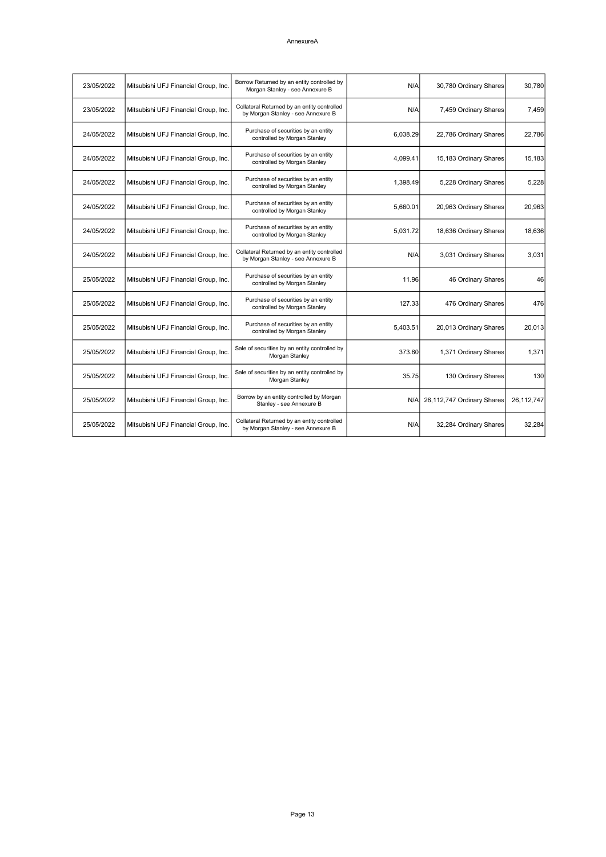| 23/05/2022 | Mitsubishi UFJ Financial Group, Inc. | Borrow Returned by an entity controlled by<br>Morgan Stanley - see Annexure B     | N/A      | 30,780 Ordinary Shares     | 30.780     |
|------------|--------------------------------------|-----------------------------------------------------------------------------------|----------|----------------------------|------------|
| 23/05/2022 | Mitsubishi UFJ Financial Group, Inc. | Collateral Returned by an entity controlled<br>by Morgan Stanley - see Annexure B | N/A      | 7,459 Ordinary Shares      | 7,459      |
| 24/05/2022 | Mitsubishi UFJ Financial Group, Inc. | Purchase of securities by an entity<br>controlled by Morgan Stanley               | 6,038.29 | 22,786 Ordinary Shares     | 22,786     |
| 24/05/2022 | Mitsubishi UFJ Financial Group, Inc. | Purchase of securities by an entity<br>controlled by Morgan Stanley               | 4,099.41 | 15,183 Ordinary Shares     | 15,183     |
| 24/05/2022 | Mitsubishi UFJ Financial Group, Inc. | Purchase of securities by an entity<br>controlled by Morgan Stanley               | 1,398.49 | 5,228 Ordinary Shares      | 5,228      |
| 24/05/2022 | Mitsubishi UFJ Financial Group, Inc. | Purchase of securities by an entity<br>controlled by Morgan Stanley               | 5,660.01 | 20,963 Ordinary Shares     | 20,963     |
| 24/05/2022 | Mitsubishi UFJ Financial Group, Inc. | Purchase of securities by an entity<br>controlled by Morgan Stanley               | 5,031.72 | 18,636 Ordinary Shares     | 18,636     |
| 24/05/2022 | Mitsubishi UFJ Financial Group, Inc. | Collateral Returned by an entity controlled<br>by Morgan Stanley - see Annexure B | N/A      | 3,031 Ordinary Shares      | 3,031      |
| 25/05/2022 | Mitsubishi UFJ Financial Group, Inc. | Purchase of securities by an entity<br>controlled by Morgan Stanley               | 11.96    | 46 Ordinary Shares         | 46         |
| 25/05/2022 | Mitsubishi UFJ Financial Group, Inc. | Purchase of securities by an entity<br>controlled by Morgan Stanley               | 127.33   | 476 Ordinary Shares        | 476        |
| 25/05/2022 | Mitsubishi UFJ Financial Group, Inc. | Purchase of securities by an entity<br>controlled by Morgan Stanley               | 5,403.51 | 20,013 Ordinary Shares     | 20,013     |
| 25/05/2022 | Mitsubishi UFJ Financial Group, Inc. | Sale of securities by an entity controlled by<br>Morgan Stanley                   | 373.60   | 1,371 Ordinary Shares      | 1,371      |
| 25/05/2022 | Mitsubishi UFJ Financial Group, Inc. | Sale of securities by an entity controlled by<br>Morgan Stanley                   | 35.75    | 130 Ordinary Shares        | 130        |
| 25/05/2022 | Mitsubishi UFJ Financial Group, Inc. | Borrow by an entity controlled by Morgan<br>Stanley - see Annexure B              | N/Al     | 26,112,747 Ordinary Shares | 26,112,747 |
| 25/05/2022 | Mitsubishi UFJ Financial Group, Inc. | Collateral Returned by an entity controlled<br>by Morgan Stanley - see Annexure B | N/A      | 32,284 Ordinary Shares     | 32,284     |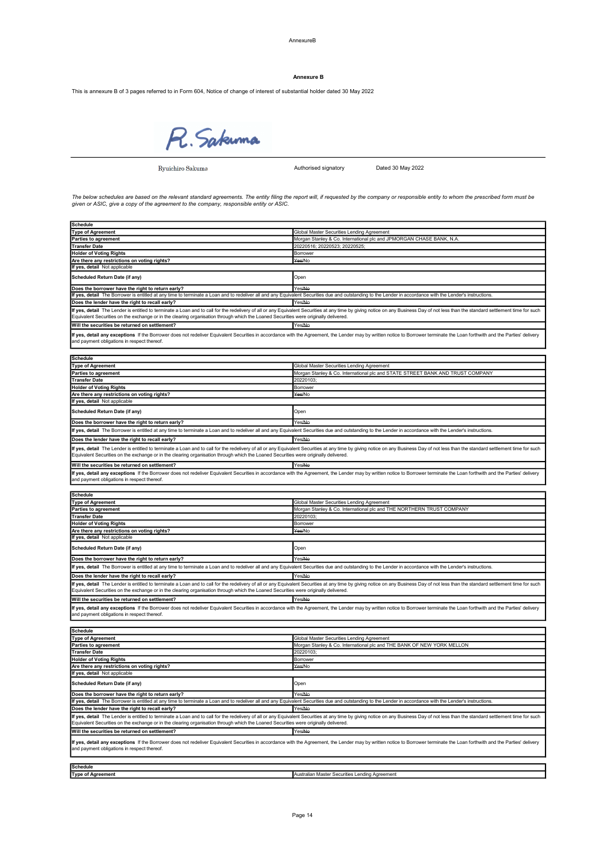AnnexureB

#### Annexure B

This is annexure B of 3 pages referred to in Form 604, Notice of change of interest of substantial holder dated 30 May 2022



Ryuichiro Sakuma

Authorised signatory Dated 30 May 2022

The below schedules are based on the relevant standard agreements. The entity filing the report will, if requested by the company or responsible entity to whom the prescribed form must be<br>given or ASIC, give a copy of the

| <b>Schedule</b>                                                                                                                                                                                                                                                                                                                                                        |                                                                                                                                                                                                                                |  |  |
|------------------------------------------------------------------------------------------------------------------------------------------------------------------------------------------------------------------------------------------------------------------------------------------------------------------------------------------------------------------------|--------------------------------------------------------------------------------------------------------------------------------------------------------------------------------------------------------------------------------|--|--|
| <b>Type of Agreement</b>                                                                                                                                                                                                                                                                                                                                               | Global Master Securities Lending Agreement                                                                                                                                                                                     |  |  |
| Parties to agreement                                                                                                                                                                                                                                                                                                                                                   | Morgan Stanley & Co. International plc and JPMORGAN CHASE BANK, N.A.                                                                                                                                                           |  |  |
| <b>Transfer Date</b>                                                                                                                                                                                                                                                                                                                                                   | 20220516; 20220523; 20220525;                                                                                                                                                                                                  |  |  |
| <b>Holder of Voting Rights</b>                                                                                                                                                                                                                                                                                                                                         | Borrower                                                                                                                                                                                                                       |  |  |
| Are there any restrictions on voting rights?<br>If yes, detail Not applicable                                                                                                                                                                                                                                                                                          | Yes/No                                                                                                                                                                                                                         |  |  |
| Scheduled Return Date (if any)                                                                                                                                                                                                                                                                                                                                         | Open                                                                                                                                                                                                                           |  |  |
| Does the borrower have the right to return early?                                                                                                                                                                                                                                                                                                                      | Yes/No                                                                                                                                                                                                                         |  |  |
| If yes, detail The Borrower is entitled at any time to terminate a Loan and to redeliver all and any Equivalent Securities due and outstanding to the Lender in accordance with the Lender's instructions                                                                                                                                                              |                                                                                                                                                                                                                                |  |  |
| Does the lender have the right to recall early?                                                                                                                                                                                                                                                                                                                        | Yes/No                                                                                                                                                                                                                         |  |  |
| Equivalent Securities on the exchange or in the clearing organisation through which the Loaned Securities were originally delivered.                                                                                                                                                                                                                                   | If yes, detail The Lender is entitled to terminate a Loan and to call for the redelivery of all or any Equivalent Securities at any time by giving notice on any Business Day of not less than the standard settlement time fo |  |  |
| Will the securities be returned on settlement?                                                                                                                                                                                                                                                                                                                         | Yes/No                                                                                                                                                                                                                         |  |  |
| and payment obligations in respect thereof.                                                                                                                                                                                                                                                                                                                            | If yes, detail any exceptions If the Borrower does not redeliver Equivalent Securities in accordance with the Agreement, the Lender may by written notice to Borrower terminate the Loan forthwith and the Parties' delivery   |  |  |
| <b>Schedule</b>                                                                                                                                                                                                                                                                                                                                                        |                                                                                                                                                                                                                                |  |  |
| <b>Type of Agreement</b>                                                                                                                                                                                                                                                                                                                                               | Global Master Securities Lending Agreement                                                                                                                                                                                     |  |  |
| <b>Parties to agreement</b>                                                                                                                                                                                                                                                                                                                                            | Morgan Stanley & Co. International plc and STATE STREET BANK AND TRUST COMPANY                                                                                                                                                 |  |  |
| <b>Transfer Date</b>                                                                                                                                                                                                                                                                                                                                                   | 20220103;                                                                                                                                                                                                                      |  |  |
| <b>Holder of Voting Rights</b>                                                                                                                                                                                                                                                                                                                                         | Borrower                                                                                                                                                                                                                       |  |  |
| Are there any restrictions on voting rights?                                                                                                                                                                                                                                                                                                                           | Yes/No                                                                                                                                                                                                                         |  |  |
| If yes, detail Not applicable                                                                                                                                                                                                                                                                                                                                          |                                                                                                                                                                                                                                |  |  |
| Scheduled Return Date (if any)                                                                                                                                                                                                                                                                                                                                         | Open                                                                                                                                                                                                                           |  |  |
| Does the borrower have the right to return early?                                                                                                                                                                                                                                                                                                                      | Yes/No                                                                                                                                                                                                                         |  |  |
| If yes, detail The Borrower is entitled at any time to terminate a Loan and to redeliver all and any Equivalent Securities due and outstanding to the Lender in accordance with the Lender's instructions.                                                                                                                                                             |                                                                                                                                                                                                                                |  |  |
| Does the lender have the right to recall early?                                                                                                                                                                                                                                                                                                                        | Yes/No                                                                                                                                                                                                                         |  |  |
| If yes, detail The Lender is entitled to terminate a Loan and to call for the redelivery of all or any Equivalent Securities at any time by giving notice on any Business Day of not less than the standard settlement time fo<br>Equivalent Securities on the exchange or in the clearing organisation through which the Loaned Securities were originally delivered. |                                                                                                                                                                                                                                |  |  |
| Will the securities be returned on settlement?                                                                                                                                                                                                                                                                                                                         | Yes/No                                                                                                                                                                                                                         |  |  |
| and payment obligations in respect thereof.                                                                                                                                                                                                                                                                                                                            | If yes, detail any exceptions If the Borrower does not redeliver Equivalent Securities in accordance with the Agreement, the Lender may by written notice to Borrower terminate the Loan forthwith and the Parties' delivery   |  |  |
| Schedule                                                                                                                                                                                                                                                                                                                                                               |                                                                                                                                                                                                                                |  |  |
| <b>Type of Agreement</b>                                                                                                                                                                                                                                                                                                                                               | Global Master Securities Lending Agreement                                                                                                                                                                                     |  |  |
| Parties to agreement                                                                                                                                                                                                                                                                                                                                                   | Morgan Stanley & Co. International plc and THE NORTHERN TRUST COMPANY                                                                                                                                                          |  |  |
| <b>Transfer Date</b>                                                                                                                                                                                                                                                                                                                                                   | 20220103                                                                                                                                                                                                                       |  |  |
| <b>Holder of Voting Rights</b>                                                                                                                                                                                                                                                                                                                                         | Borrower                                                                                                                                                                                                                       |  |  |
| Are there any restrictions on voting rights?                                                                                                                                                                                                                                                                                                                           | Yes/No                                                                                                                                                                                                                         |  |  |
| If yes, detail Not applicable                                                                                                                                                                                                                                                                                                                                          |                                                                                                                                                                                                                                |  |  |
| Scheduled Return Date (if any)                                                                                                                                                                                                                                                                                                                                         | Open                                                                                                                                                                                                                           |  |  |
| Does the borrower have the right to return early?                                                                                                                                                                                                                                                                                                                      | Yes/No                                                                                                                                                                                                                         |  |  |
| If yes, detail The Borrower is entitled at any time to terminate a Loan and to redeliver all and any Equivalent Securities due and outstanding to the Lender in accordance with the Lender's instructions.                                                                                                                                                             |                                                                                                                                                                                                                                |  |  |
| Does the lender have the right to recall early?                                                                                                                                                                                                                                                                                                                        | Yes/No                                                                                                                                                                                                                         |  |  |
| Equivalent Securities on the exchange or in the clearing organisation through which the Loaned Securities were originally delivered.                                                                                                                                                                                                                                   | If yes, detail The Lender is entitled to terminate a Loan and to call for the redelivery of all or any Equivalent Securities at any time by giving notice on any Business Day of not less than the standard settlement time fo |  |  |
| Will the securities be returned on settlement?                                                                                                                                                                                                                                                                                                                         | Yes/Ne                                                                                                                                                                                                                         |  |  |
| and payment obligations in respect thereof.                                                                                                                                                                                                                                                                                                                            | If yes, detail any exceptions If the Borrower does not redeliver Equivalent Securities in accordance with the Agreement, the Lender may by written notice to Borrower terminate the Loan forthwith and the Parties' delivery   |  |  |
| <b>Schedule</b>                                                                                                                                                                                                                                                                                                                                                        |                                                                                                                                                                                                                                |  |  |
| <b>Type of Agreement</b>                                                                                                                                                                                                                                                                                                                                               | Global Master Securities Lending Agreement                                                                                                                                                                                     |  |  |
| Parties to agreement                                                                                                                                                                                                                                                                                                                                                   | Morgan Stanley & Co. International plc and THE BANK OF NEW YORK MELLON                                                                                                                                                         |  |  |
| <b>Transfer Date</b>                                                                                                                                                                                                                                                                                                                                                   | 20220103:                                                                                                                                                                                                                      |  |  |
| <b>Holder of Voting Rights</b>                                                                                                                                                                                                                                                                                                                                         | Borrower                                                                                                                                                                                                                       |  |  |
| Are there any restrictions on voting rights?                                                                                                                                                                                                                                                                                                                           | Yes/No                                                                                                                                                                                                                         |  |  |
| If yes, detail Not applicable                                                                                                                                                                                                                                                                                                                                          |                                                                                                                                                                                                                                |  |  |
| Scheduled Return Date (if any)                                                                                                                                                                                                                                                                                                                                         | Open                                                                                                                                                                                                                           |  |  |
| Does the borrower have the right to return early?<br>If yes, detail The Borrower is entitled at any time to terminate a Loan and to redeliver all and any Equivalent Securities due and outstanding to the Lender in accordance with the Lender's instructions                                                                                                         | Yes/No                                                                                                                                                                                                                         |  |  |
| Does the lender have the right to recall early?                                                                                                                                                                                                                                                                                                                        | Yes/No                                                                                                                                                                                                                         |  |  |
|                                                                                                                                                                                                                                                                                                                                                                        | If yes, detail The Lender is entitled to terminate a Loan and to call for the redelivery of all or any Equivalent Securities at any time by giving notice on any Business Day of not less than the standard settlement time fo |  |  |
| Equivalent Securities on the exchange or in the clearing organisation through which the Loaned Securities were originally delivered.<br>Will the securities be returned on settlement?                                                                                                                                                                                 | Yes/No                                                                                                                                                                                                                         |  |  |
|                                                                                                                                                                                                                                                                                                                                                                        |                                                                                                                                                                                                                                |  |  |
| If yes, detail any exceptions If the Borrower does not redeliver Equivalent Securities in accordance with the Agreement, the Lender may by written notice to Borrower terminate the Loan forthwith and the Parties' delivery<br>and payment obligations in respect thereof.                                                                                            |                                                                                                                                                                                                                                |  |  |
| <b>Schedule</b>                                                                                                                                                                                                                                                                                                                                                        |                                                                                                                                                                                                                                |  |  |
| <b>Type of Agreement</b>                                                                                                                                                                                                                                                                                                                                               | Australian Master Securities Lending Agreement                                                                                                                                                                                 |  |  |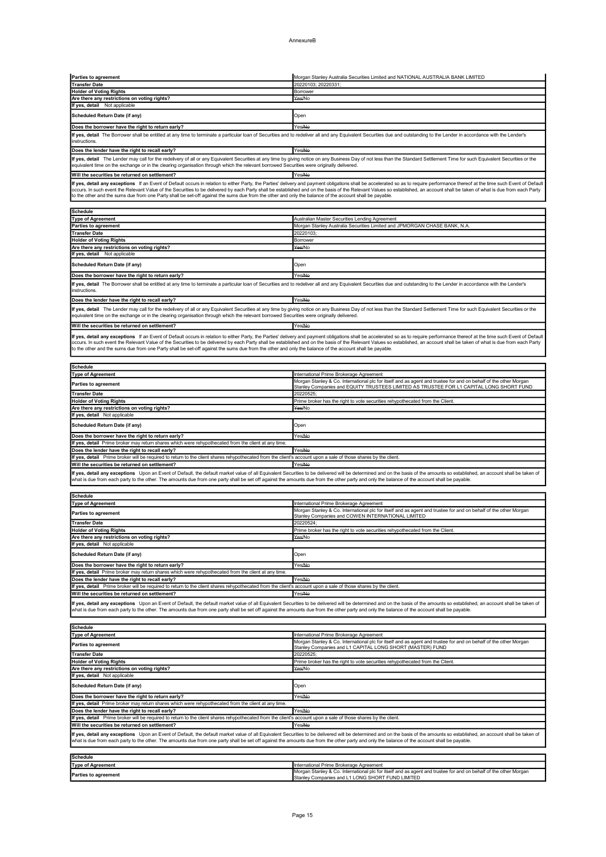| Parties to agreement                                                                                                                                                                                               | Morgan Stanley Australia Securities Limited and NATIONAL AUSTRALIA BANK LIMITED                                                                                                                                                |
|--------------------------------------------------------------------------------------------------------------------------------------------------------------------------------------------------------------------|--------------------------------------------------------------------------------------------------------------------------------------------------------------------------------------------------------------------------------|
| <b>Transfer Date</b>                                                                                                                                                                                               | 20220103; 20220331;                                                                                                                                                                                                            |
| <b>Holder of Voting Rights</b><br>Are there any restrictions on voting rights?                                                                                                                                     | Borrower<br>Yes/No                                                                                                                                                                                                             |
| If yes, detail Not applicable                                                                                                                                                                                      |                                                                                                                                                                                                                                |
| Scheduled Return Date (if any)                                                                                                                                                                                     | Open                                                                                                                                                                                                                           |
| Does the borrower have the right to return early?                                                                                                                                                                  | Yes/No                                                                                                                                                                                                                         |
|                                                                                                                                                                                                                    | If yes, detail The Borrower shall be entitled at any time to terminate a particular loan of Securities and to redeliver all and any Equivalent Securities due and outstanding to the Lender in accordance with the Lender's    |
| instructions.                                                                                                                                                                                                      |                                                                                                                                                                                                                                |
| Does the lender have the right to recall early?                                                                                                                                                                    | Yes/No                                                                                                                                                                                                                         |
| equivalent time on the exchange or in the clearing organisation through which the relevant borrowed Securities were originally delivered.                                                                          | If yes, detail The Lender may call for the redelivery of all or any Equivalent Securities at any time by giving notice on any Business Day of not less than the Standard Settlement Time for such Equivalent Securities or the |
| Will the securities be returned on settlement?                                                                                                                                                                     | Yes/No                                                                                                                                                                                                                         |
|                                                                                                                                                                                                                    | If yes, detail any exceptions If an Event of Default occurs in relation to either Party, the Parties' delivery and payment obligations shall be accelerated so as to require performance thereof at the time such Event of Def |
|                                                                                                                                                                                                                    | occurs. In such event the Relevant Value of the Securities to be delivered by each Party shall be established and on the basis of the Relevant Values so established, an account shall be taken of what is due from each Party |
| to the other and the sums due from one Party shall be set-off against the sums due from the other and only the balance of the account shall be payable.                                                            |                                                                                                                                                                                                                                |
| <b>Schedule</b>                                                                                                                                                                                                    |                                                                                                                                                                                                                                |
| <b>Type of Agreement</b>                                                                                                                                                                                           | Australian Master Securities Lending Agreement                                                                                                                                                                                 |
| Parties to agreement<br><b>Transfer Date</b>                                                                                                                                                                       | Morgan Stanley Australia Securities Limited and JPMORGAN CHASE BANK, N.A<br>20220103;                                                                                                                                          |
| <b>Holder of Voting Rights</b>                                                                                                                                                                                     | Borrower                                                                                                                                                                                                                       |
| Are there any restrictions on voting rights?                                                                                                                                                                       | Yes/No                                                                                                                                                                                                                         |
| If yes, detail Not applicable                                                                                                                                                                                      |                                                                                                                                                                                                                                |
| Scheduled Return Date (if any)                                                                                                                                                                                     | Open                                                                                                                                                                                                                           |
| Does the borrower have the right to return early?                                                                                                                                                                  | Yes/No                                                                                                                                                                                                                         |
| instructions.                                                                                                                                                                                                      | If yes, detail The Borrower shall be entitled at any time to terminate a particular loan of Securities and to redeliver all and any Equivalent Securities due and outstanding to the Lender in accordance with the Lender's    |
| Does the lender have the right to recall early?                                                                                                                                                                    | Yes/No                                                                                                                                                                                                                         |
|                                                                                                                                                                                                                    |                                                                                                                                                                                                                                |
| equivalent time on the exchange or in the clearing organisation through which the relevant borrowed Securities were originally delivered.                                                                          | If yes, detail The Lender may call for the redelivery of all or any Equivalent Securities at any time by giving notice on any Business Day of not less than the Standard Settlement Time for such Equivalent Securities or the |
| Will the securities be returned on settlement?                                                                                                                                                                     | Yes/No                                                                                                                                                                                                                         |
|                                                                                                                                                                                                                    | If yes, detail any exceptions If an Event of Default occurs in relation to either Party, the Parties' delivery and payment obligations shall be accelerated so as to require performance thereof at the time such Event of Def |
|                                                                                                                                                                                                                    | occurs. In such event the Relevant Value of the Securities to be delivered by each Party shall be established and on the basis of the Relevant Values so established, an account shall be taken of what is due from each Party |
| to the other and the sums due from one Party shall be set-off against the sums due from the other and only the balance of the account shall be payable.                                                            |                                                                                                                                                                                                                                |
| <b>Schedule</b>                                                                                                                                                                                                    |                                                                                                                                                                                                                                |
| <b>Type of Agreement</b>                                                                                                                                                                                           | International Prime Brokerage Agreement                                                                                                                                                                                        |
| <b>Parties to agreement</b>                                                                                                                                                                                        | Morgan Stanley & Co. International plc for itself and as agent and trustee for and on behalf of the other Morgan                                                                                                               |
| <b>Transfer Date</b>                                                                                                                                                                                               | Stanley Companies and EQUITY TRUSTEES LIMITED AS TRUSTEE FOR L1 CAPITAL LONG SHORT FUND<br>20220525                                                                                                                            |
| <b>Holder of Voting Rights</b>                                                                                                                                                                                     | Prime broker has the right to vote securities rehypothecated from the Client.                                                                                                                                                  |
| Are there any restrictions on voting rights?                                                                                                                                                                       | Yes/No                                                                                                                                                                                                                         |
| If yes, detail Not applicable                                                                                                                                                                                      |                                                                                                                                                                                                                                |
|                                                                                                                                                                                                                    |                                                                                                                                                                                                                                |
| Scheduled Return Date (if any)                                                                                                                                                                                     | Open                                                                                                                                                                                                                           |
| Does the borrower have the right to return early?                                                                                                                                                                  | Yes/No                                                                                                                                                                                                                         |
| If yes, detail Prime broker may return shares which were rehypothecated from the client at any time.                                                                                                               | Yes/Ne                                                                                                                                                                                                                         |
| Does the lender have the right to recall early?<br>If yes, detail Prime broker will be required to return to the client shares rehypothecated from the client's account upon a sale of those shares by the client  |                                                                                                                                                                                                                                |
| Will the securities be returned on settlement?                                                                                                                                                                     | Yes/No                                                                                                                                                                                                                         |
|                                                                                                                                                                                                                    | If yes, detail any exceptions Upon an Event of Default, the default market value of all Equivalent Securities to be delivered will be determined and on the basis of the amounts so established, an account shall be taken of  |
| what is due from each party to the other. The amounts due from one party shall be set off against the amounts due from the other party and only the balance of the account shall be payable.                       |                                                                                                                                                                                                                                |
| <b>Schedule</b>                                                                                                                                                                                                    |                                                                                                                                                                                                                                |
| <b>Type of Agreement</b>                                                                                                                                                                                           | International Prime Brokerage Agreement                                                                                                                                                                                        |
| Parties to agreement                                                                                                                                                                                               | Morgan Stanley & Co. International plc for itself and as agent and trustee for and on behalf of the other Morgan<br>Stanley Companies and COWEN INTERNATIONAL LIMITED                                                          |
| <b>Transfer Date</b>                                                                                                                                                                                               | 20220524;                                                                                                                                                                                                                      |
| <b>Holder of Voting Rights</b>                                                                                                                                                                                     | Prime broker has the right to vote securities rehypothecated from the Client                                                                                                                                                   |
| Are there any restrictions on voting rights?<br>If yes, detail Not applicable                                                                                                                                      | Yes/No                                                                                                                                                                                                                         |
| Scheduled Return Date (if any)                                                                                                                                                                                     | Open                                                                                                                                                                                                                           |
| Does the borrower have the right to return early?                                                                                                                                                                  | Yes/No                                                                                                                                                                                                                         |
| If yes, detail Prime broker may return shares which were rehypothecated from the client at any time.                                                                                                               |                                                                                                                                                                                                                                |
| Does the lender have the right to recall early?                                                                                                                                                                    | Yes/No                                                                                                                                                                                                                         |
| If yes, detail Prime broker will be required to return to the client shares rehypothecated from the client's account upon a sale of those shares by the client.                                                    | Yes/No                                                                                                                                                                                                                         |
| Will the securities be returned on settlement?                                                                                                                                                                     | If yes, detail any exceptions Upon an Event of Default, the default market value of all Equivalent Securities to be delivered will be determined and on the basis of the amounts so established, an account shall be taken of  |
| what is due from each party to the other. The amounts due from one party shall be set off against the amounts due from the other party and only the balance of the account shall be payable.                       |                                                                                                                                                                                                                                |
|                                                                                                                                                                                                                    |                                                                                                                                                                                                                                |
| <b>Schedule</b>                                                                                                                                                                                                    |                                                                                                                                                                                                                                |
| <b>Type of Agreement</b>                                                                                                                                                                                           | International Prime Brokerage Agreement<br>Morgan Stanley & Co. International plc for itself and as agent and trustee for and on behalf of the other Morgan                                                                    |
| Parties to agreement                                                                                                                                                                                               | Stanley Companies and L1 CAPITAL LONG SHORT (MASTER) FUND                                                                                                                                                                      |
| <b>Transfer Date</b><br><b>Holder of Voting Rights</b>                                                                                                                                                             | 20220525;<br>Prime broker has the right to vote securities rehypothecated from the Client.                                                                                                                                     |
| Are there any restrictions on voting rights?                                                                                                                                                                       | Yes/No                                                                                                                                                                                                                         |
| If yes, detail Not applicable                                                                                                                                                                                      |                                                                                                                                                                                                                                |
| Scheduled Return Date (if any)                                                                                                                                                                                     | Open                                                                                                                                                                                                                           |
| Does the borrower have the right to return early?                                                                                                                                                                  | Yes/No                                                                                                                                                                                                                         |
| If yes, detail Prime broker may return shares which were rehypothecated from the client at any time.                                                                                                               |                                                                                                                                                                                                                                |
| Does the lender have the right to recall early?<br>If yes, detail Prime broker will be required to return to the client shares rehypothecated from the client's account upon a sale of those shares by the client. | Yes/No                                                                                                                                                                                                                         |
| Will the securities be returned on settlement?                                                                                                                                                                     | Yes/No                                                                                                                                                                                                                         |
|                                                                                                                                                                                                                    | If yes, detail any exceptions Upon an Event of Default, the default market value of all Equivalent Securities to be delivered will be determined and on the basis of the amounts so established, an account shall be taken of  |
| what is due from each party to the other. The amounts due from one party shall be set off against the amounts due from the other party and only the balance of the account shall be payable.                       |                                                                                                                                                                                                                                |
| <b>Schedule</b>                                                                                                                                                                                                    |                                                                                                                                                                                                                                |
| <b>Type of Agreement</b>                                                                                                                                                                                           | International Prime Brokerage Agreement<br>Morgan Stanley & Co. International plc for itself and as agent and trustee for and on behalf of the other Morgan                                                                    |